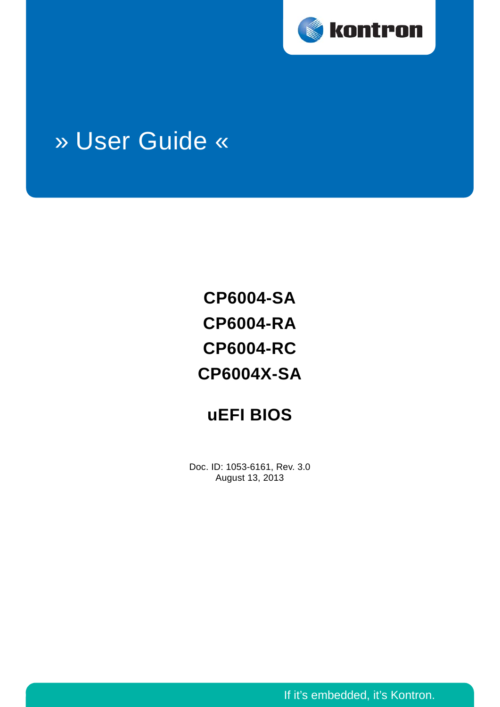

# » User Guide «

**CP6004-SA CP6004-RA CP6004-RC CP6004X-SA**

# **uEFI BIOS**

Doc. ID: 1053-6161, Rev. 3.0 August 13, 2013

If it's embedded, it's Kontron.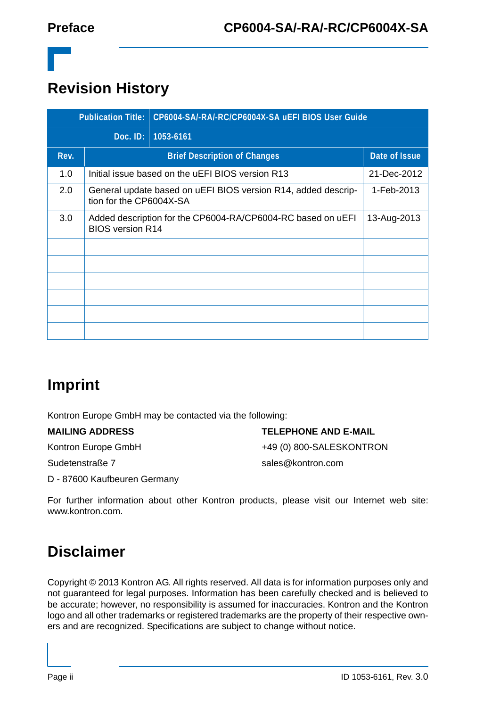# <span id="page-1-0"></span>**Revision History**

| <b>Publication Title:</b> |                                                                                          | CP6004-SA/-RA/-RC/CP6004X-SA uEFI BIOS User Guide |               |  |  |
|---------------------------|------------------------------------------------------------------------------------------|---------------------------------------------------|---------------|--|--|
| Doc. ID:                  |                                                                                          | 1053-6161                                         |               |  |  |
| Rev.                      | <b>Brief Description of Changes</b>                                                      |                                                   | Date of Issue |  |  |
| 1.0                       | Initial issue based on the uEFI BIOS version R13                                         |                                                   | 21-Dec-2012   |  |  |
| 2.0                       | General update based on uEFI BIOS version R14, added descrip-<br>tion for the CP6004X-SA |                                                   | 1-Feb-2013    |  |  |
| 3.0                       | Added description for the CP6004-RA/CP6004-RC based on uEFI<br><b>BIOS version R14</b>   |                                                   | 13-Aug-2013   |  |  |
|                           |                                                                                          |                                                   |               |  |  |
|                           |                                                                                          |                                                   |               |  |  |
|                           |                                                                                          |                                                   |               |  |  |
|                           |                                                                                          |                                                   |               |  |  |
|                           |                                                                                          |                                                   |               |  |  |
|                           |                                                                                          |                                                   |               |  |  |

# <span id="page-1-1"></span>**Imprint**

Kontron Europe GmbH may be contacted via the following:

#### **MAILING ADDRESS TELEPHONE AND E-MAIL**

Kontron Europe GmbH +49 (0) 800-SALESKONTRON

Sudetenstraße 7 sales@kontron.com

D - 87600 Kaufbeuren Germany

For further information about other Kontron products, please visit our Internet web site: www.kontron.com.

# <span id="page-1-2"></span>**Disclaimer**

Copyright © 2013 Kontron AG. All rights reserved. All data is for information purposes only and not guaranteed for legal purposes. Information has been carefully checked and is believed to be accurate; however, no responsibility is assumed for inaccuracies. Kontron and the Kontron logo and all other trademarks or registered trademarks are the property of their respective owners and are recognized. Specifications are subject to change without notice.

Page ii **ID 1053-6161**, Rev. 3.0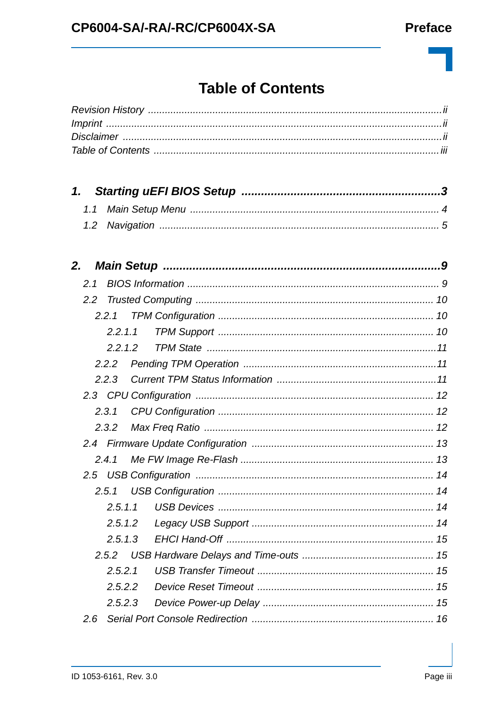

# **Table of Contents**

<span id="page-2-0"></span>

| 2. |     |         |         |  |
|----|-----|---------|---------|--|
|    | 2.1 |         |         |  |
|    | 2.2 |         |         |  |
|    |     | 2.2.1   |         |  |
|    |     | 2.2.1.1 |         |  |
|    |     | 2.2.1.2 |         |  |
|    |     | 2.2.2   |         |  |
|    |     | 2.2.3   |         |  |
|    |     |         |         |  |
|    |     | 2.3.1   |         |  |
|    |     | 2.3.2   |         |  |
|    |     |         |         |  |
|    |     | 2.4.1   |         |  |
|    |     |         |         |  |
|    |     | 2.5.1   |         |  |
|    |     | 2.5.1.1 |         |  |
|    |     |         | 2.5.1.2 |  |
|    |     | 2.5.1.3 |         |  |
|    |     | 2.5.2   |         |  |
|    |     | 2.5.2.1 |         |  |
|    |     | 2.5.2.2 |         |  |
|    |     | 2.5.2.3 |         |  |
|    | 2.6 |         |         |  |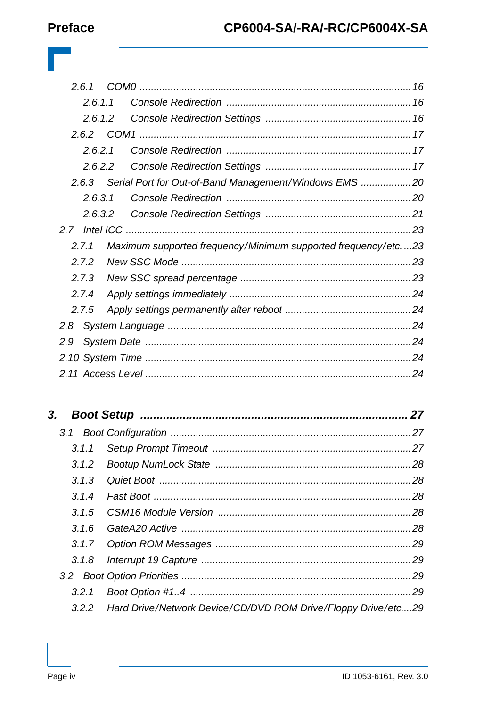## **Preface**

 $\overline{\phantom{a}}$ 

| 3.1.1   |                                                                     |  |
|---------|---------------------------------------------------------------------|--|
|         |                                                                     |  |
|         |                                                                     |  |
| 3.1.4   |                                                                     |  |
|         |                                                                     |  |
| 3, 1, 6 |                                                                     |  |
|         |                                                                     |  |
| 3.1.8   |                                                                     |  |
|         |                                                                     |  |
|         |                                                                     |  |
|         | 3.2.2 Hard Drive/Network Device/CD/DVD ROM Drive/Floppy Drive/etc29 |  |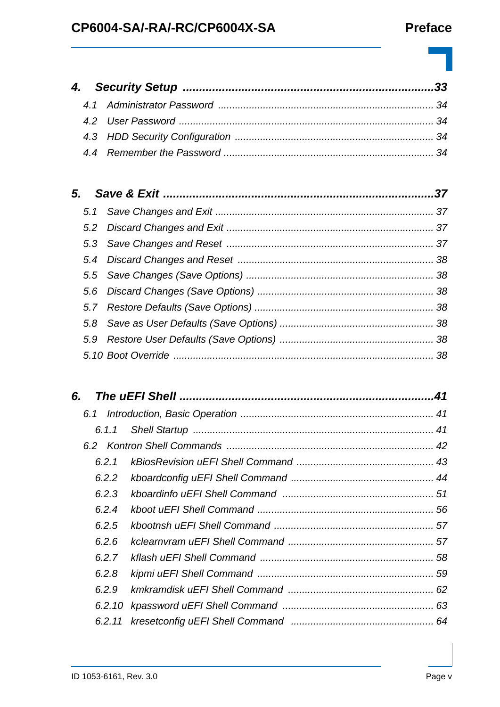## CP6004-SA/-RA/-RC/CP6004X-SA

## **Preface**

| 4.  |  |
|-----|--|
| 4.1 |  |
| 4.2 |  |
| 4.3 |  |
| 44  |  |
| 5.  |  |
| 5.1 |  |
| 5.2 |  |
| 5.3 |  |
| 5.4 |  |
| 5.5 |  |
| 5.6 |  |
| 5.7 |  |
| 5.8 |  |
| 5.9 |  |
|     |  |

| 6. |        |  |
|----|--------|--|
|    |        |  |
|    | 6.1.1  |  |
|    |        |  |
|    | 6.2.1  |  |
|    | 6.2.2  |  |
|    | 6.2.3  |  |
|    | 6.2.4  |  |
|    | 6.2.5  |  |
|    | 6.2.6  |  |
|    | 6.2.7  |  |
|    | 6.2.8  |  |
|    | 6.2.9  |  |
|    | 6.2.10 |  |
|    | 6.2.11 |  |
|    |        |  |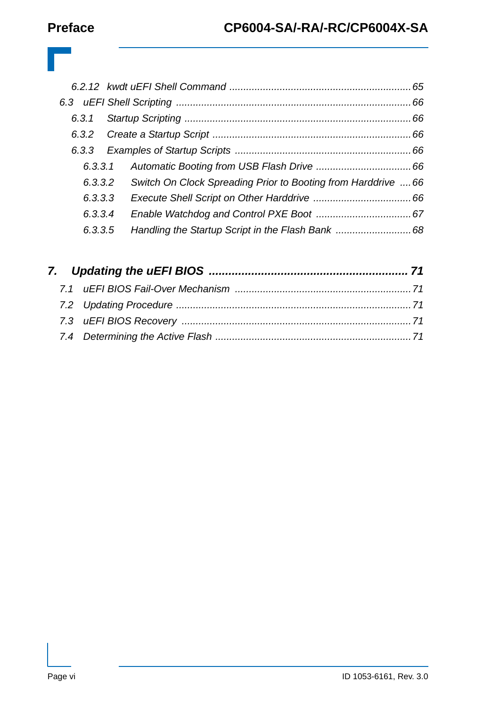$\overline{\phantom{a}}$ 

| 6.3.1   |                                                               |  |
|---------|---------------------------------------------------------------|--|
|         |                                                               |  |
| 6.3.3   |                                                               |  |
| 6.3.3.1 |                                                               |  |
| 6.3.3.2 | Switch On Clock Spreading Prior to Booting from Harddrive  66 |  |
| 6.3.3.3 |                                                               |  |
| 6,3,3,4 |                                                               |  |
| 6.3.3.5 |                                                               |  |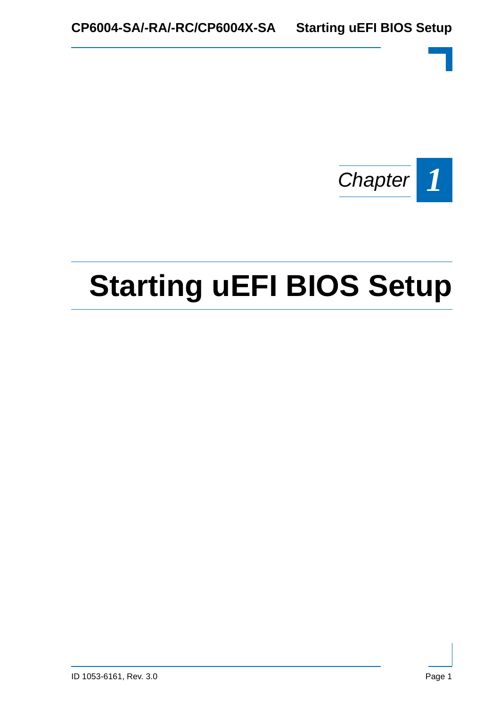

# **Starting uEFI BIOS Setup**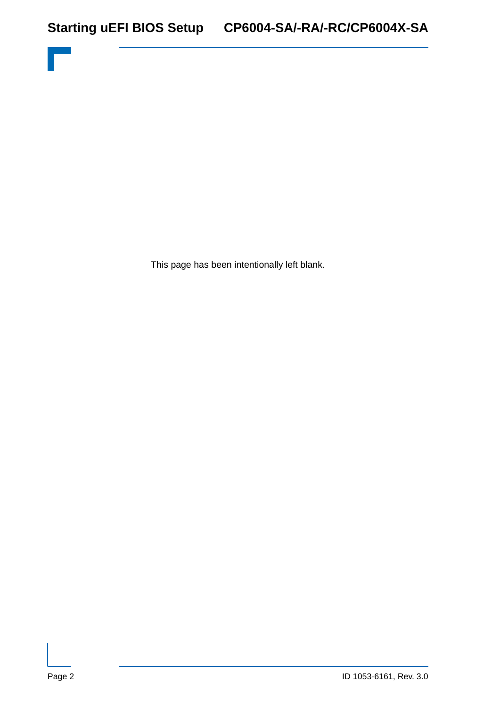

This page has been intentionally left blank.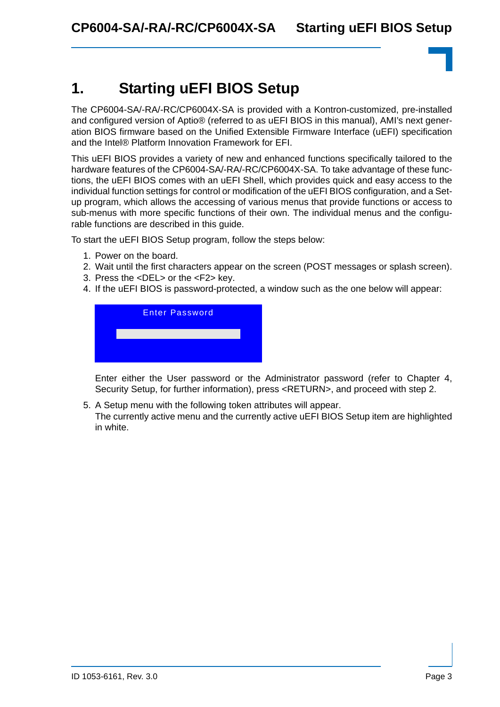# <span id="page-8-0"></span>**1. Starting uEFI BIOS Setup**

The CP6004-SA/-RA/-RC/CP6004X-SA is provided with a Kontron-customized, pre-installed and configured version of Aptio® (referred to as uEFI BIOS in this manual), AMI's next generation BIOS firmware based on the Unified Extensible Firmware Interface (uEFI) specification and the Intel® Platform Innovation Framework for EFI.

This uEFI BIOS provides a variety of new and enhanced functions specifically tailored to the hardware features of the CP6004-SA/-RA/-RC/CP6004X-SA. To take advantage of these functions, the uEFI BIOS comes with an uEFI Shell, which provides quick and easy access to the individual function settings for control or modification of the uEFI BIOS configuration, and a Setup program, which allows the accessing of various menus that provide functions or access to sub-menus with more specific functions of their own. The individual menus and the configurable functions are described in this guide.

To start the uEFI BIOS Setup program, follow the steps below:

- 1. Power on the board.
- 2. Wait until the first characters appear on the screen (POST messages or splash screen).
- 3. Press the <DEL> or the <F2> key.
- 4. If the uEFI BIOS is password-protected, a window such as the one below will appear:



Enter either the User password or the Administrator password (refer to Chapter 4, Security Setup, for further information), press <RETURN>, and proceed with step 2.

5. A Setup menu with the following token attributes will appear. The currently active menu and the currently active uEFI BIOS Setup item are highlighted in white.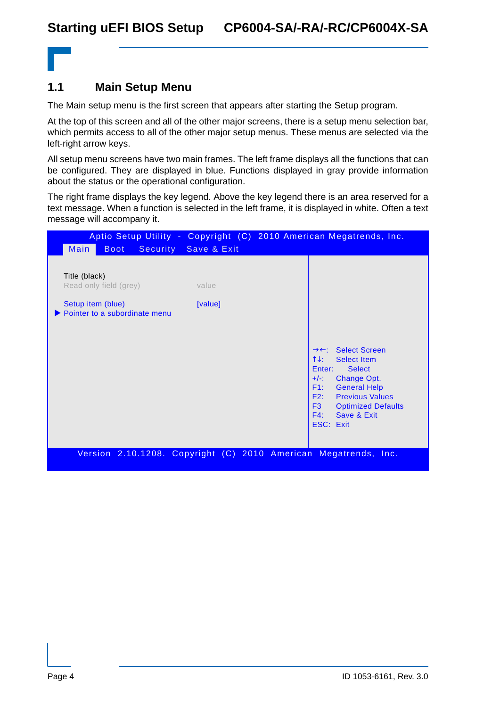#### <span id="page-9-0"></span>**1.1 Main Setup Menu**

The Main setup menu is the first screen that appears after starting the Setup program.

At the top of this screen and all of the other major screens, there is a setup menu selection bar, which permits access to all of the other major setup menus. These menus are selected via the left-right arrow keys.

All setup menu screens have two main frames. The left frame displays all the functions that can be configured. They are displayed in blue. Functions displayed in gray provide information about the status or the operational configuration.

The right frame displays the key legend. Above the key legend there is an area reserved for a text message. When a function is selected in the left frame, it is displayed in white. Often a text message will accompany it.

|                                                                                               |                      | Aptio Setup Utility - Copyright (C) 2010 American Megatrends, Inc.                                                                                                                                                                                                    |
|-----------------------------------------------------------------------------------------------|----------------------|-----------------------------------------------------------------------------------------------------------------------------------------------------------------------------------------------------------------------------------------------------------------------|
| Main<br><b>Boot</b>                                                                           | Security Save & Exit |                                                                                                                                                                                                                                                                       |
| Title (black)<br>Read only field (grey)<br>Setup item (blue)<br>Pointer to a subordinate menu | value<br>[value]     | $\rightarrow \leftarrow$ : Select Screen<br>$\uparrow \downarrow$ :<br><b>Select Item</b><br>Enter:<br><b>Select</b><br>$+/-:$<br>Change Opt.<br>F1:<br><b>General Help</b><br>F2: Previous Values<br><b>F3</b> Optimized Defaults<br>F4:<br>Save & Exit<br>ESC: Exit |
| Version                                                                                       |                      | 2.10.1208. Copyright (C) 2010 American Megatrends, Inc.                                                                                                                                                                                                               |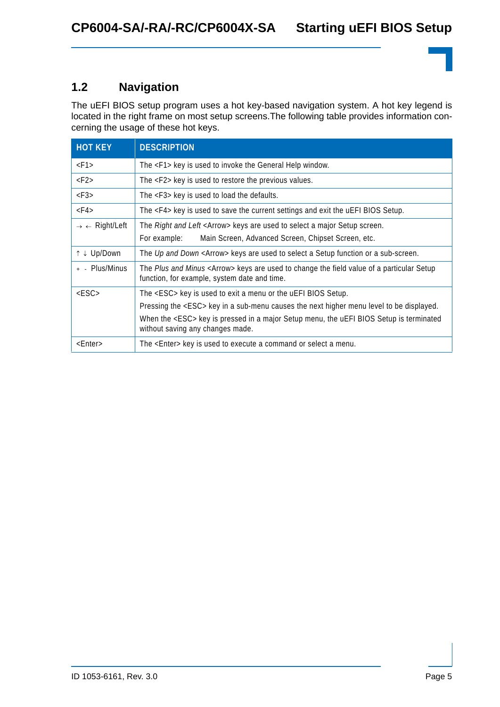#### <span id="page-10-0"></span>**1.2 Navigation**

The uEFI BIOS setup program uses a hot key-based navigation system. A hot key legend is located in the right frame on most setup screens.The following table provides information concerning the usage of these hot keys.

| <b>HOT KEY</b>                        | <b>DESCRIPTION</b>                                                                                                                                |
|---------------------------------------|---------------------------------------------------------------------------------------------------------------------------------------------------|
| $<$ F1>                               | The <f1> key is used to invoke the General Help window.</f1>                                                                                      |
| $<$ F2>                               | The <f2> key is used to restore the previous values.</f2>                                                                                         |
| $<$ F3>                               | The <f3> key is used to load the defaults.</f3>                                                                                                   |
| $<$ F4 $>$                            | The <f4> key is used to save the current settings and exit the uEFI BIOS Setup.</f4>                                                              |
| $\rightarrow$ $\leftarrow$ Right/Left | The <i>Right and Left</i> <arrow> keys are used to select a major Setup screen.</arrow>                                                           |
|                                       | Main Screen, Advanced Screen, Chipset Screen, etc.<br>For example:                                                                                |
| ↑↓ Up/Down                            | The Up and Down <arrow> keys are used to select a Setup function or a sub-screen.</arrow>                                                         |
| + - Plus/Minus                        | The Plus and Minus <arrow> keys are used to change the field value of a particular Setup<br/>function, for example, system date and time.</arrow> |
| $<$ ESC $>$                           | The <esc> key is used to exit a menu or the uEFI BIOS Setup.</esc>                                                                                |
|                                       | Pressing the <esc> key in a sub-menu causes the next higher menu level to be displayed.</esc>                                                     |
|                                       | When the <esc> key is pressed in a major Setup menu, the uEFI BIOS Setup is terminated<br/>without saving any changes made.</esc>                 |
| <enter></enter>                       | The <enter> key is used to execute a command or select a menu.</enter>                                                                            |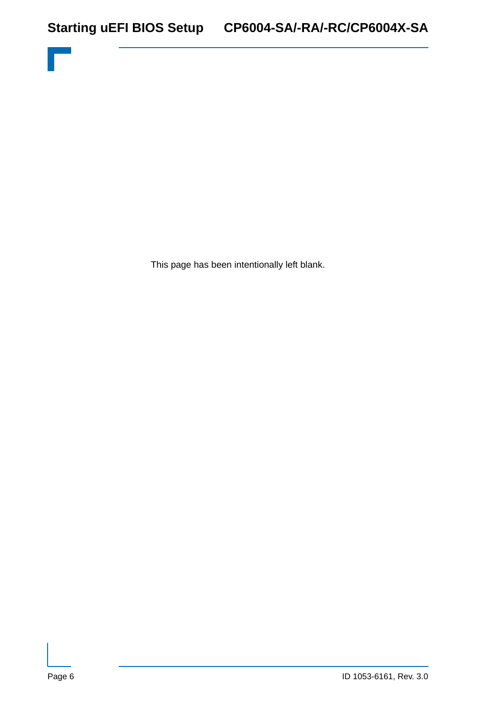

This page has been intentionally left blank.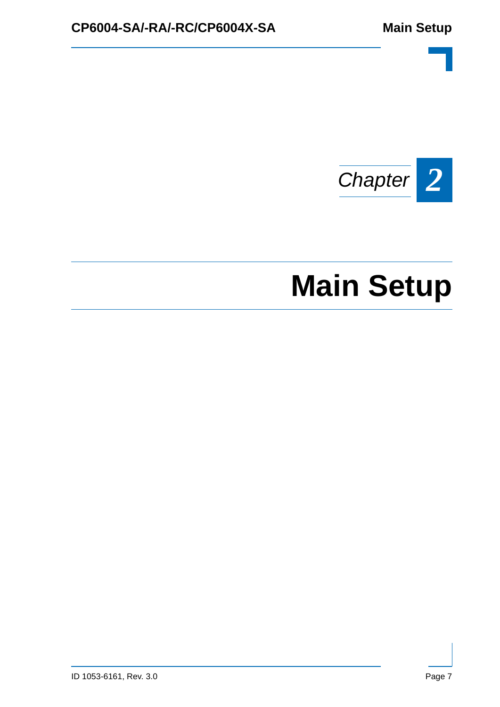

# **Main Setup**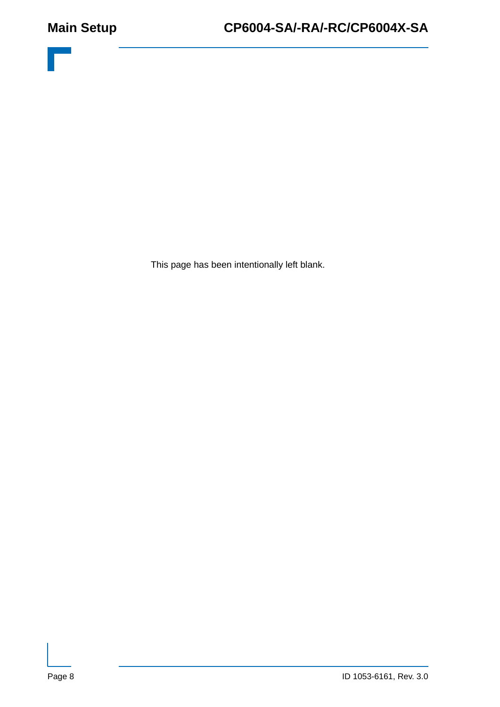

This page has been intentionally left blank.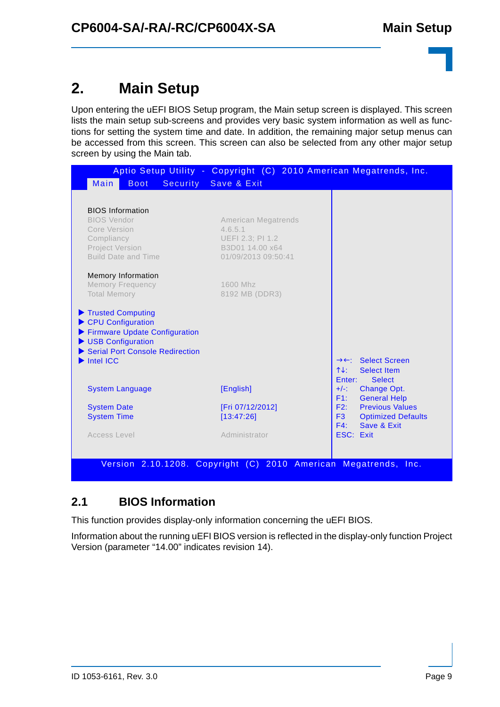

# <span id="page-14-0"></span>**2. Main Setup**

Upon entering the uEFI BIOS Setup program, the Main setup screen is displayed. This screen lists the main setup sub-screens and provides very basic system information as well as functions for setting the system time and date. In addition, the remaining major setup menus can be accessed from this screen. This screen can also be selected from any other major setup screen by using the Main tab.

| Main<br>Security<br><b>Boot</b>                                                                                                                                    | Aptio Setup Utility - Copyright (C) 2010 American Megatrends, Inc.<br>Save & Exit                   |                                                                                                                      |
|--------------------------------------------------------------------------------------------------------------------------------------------------------------------|-----------------------------------------------------------------------------------------------------|----------------------------------------------------------------------------------------------------------------------|
|                                                                                                                                                                    |                                                                                                     |                                                                                                                      |
| <b>BIOS Information</b><br><b>BIOS Vendor</b><br>Core Version<br>Compliancy<br>Project Version<br><b>Build Date and Time</b>                                       | <b>American Megatrends</b><br>4.6.5.1<br>UEFI 2.3; PI 1.2<br>B3D01 14.00 x64<br>01/09/2013 09:50:41 |                                                                                                                      |
| Memory Information<br><b>Memory Frequency</b><br><b>Total Memory</b>                                                                                               | 1600 Mhz<br>8192 MB (DDR3)                                                                          |                                                                                                                      |
| Trusted Computing<br>CPU Configuration<br>Firmware Update Configuration<br>USB Configuration<br>Serial Port Console Redirection<br>$\blacktriangleright$ Intel ICC |                                                                                                     | $\rightarrow \leftarrow$ : Select Screen<br>$\uparrow \downarrow$ :<br><b>Select Item</b><br>Enter:<br><b>Select</b> |
| <b>System Language</b>                                                                                                                                             | [English]                                                                                           | $+/-$ :<br>Change Opt.<br>F1:<br><b>General Help</b>                                                                 |
| <b>System Date</b><br><b>System Time</b>                                                                                                                           | [Fri 07/12/2012]<br>[13:47:26]                                                                      | F2:<br><b>Previous Values</b><br>F <sub>3</sub><br><b>Optimized Defaults</b><br>Save & Exit<br>$FA+$                 |
| Access Level                                                                                                                                                       | Administrator                                                                                       | ESC: Exit                                                                                                            |
|                                                                                                                                                                    | Version 2.10.1208. Copyright (C) 2010 American Megatrends, Inc.                                     |                                                                                                                      |

## <span id="page-14-1"></span>**2.1 BIOS Information**

This function provides display-only information concerning the uEFI BIOS.

Information about the running uEFI BIOS version is reflected in the display-only function Project Version (parameter "14.00" indicates revision 14).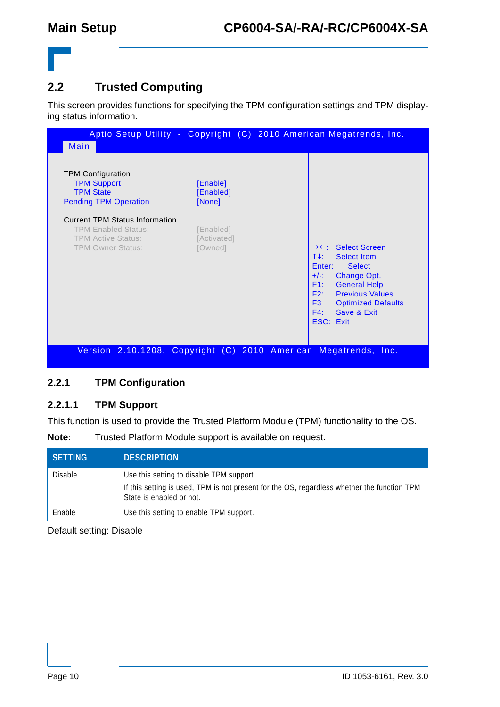#### <span id="page-15-0"></span>**2.2 Trusted Computing**

This screen provides functions for specifying the TPM configuration settings and TPM displaying status information.

| Aptio Setup Utility - Copyright (C) 2010 American Megatrends, Inc.<br>Main                                                   |                                     |                                                                                                                                                                                                                                                                                                 |
|------------------------------------------------------------------------------------------------------------------------------|-------------------------------------|-------------------------------------------------------------------------------------------------------------------------------------------------------------------------------------------------------------------------------------------------------------------------------------------------|
| <b>TPM Configuration</b><br><b>TPM Support</b><br><b>TPM State</b><br><b>Pending TPM Operation</b>                           | [Enable]<br>[Enabled]<br>[None]     |                                                                                                                                                                                                                                                                                                 |
| <b>Current TPM Status Information</b><br><b>TPM Enabled Status:</b><br><b>TPM Active Status:</b><br><b>TPM Owner Status:</b> | [Enabled]<br>[Activated]<br>[Owned] | $\rightarrow \leftarrow$ : Select Screen<br>$\uparrow \downarrow$ :<br><b>Select Item</b><br><b>Select</b><br>Enter:<br>$+/-$ :<br>Change Opt.<br><b>General Help</b><br>F1:<br><b>Previous Values</b><br>F2:<br>F <sub>3</sub><br><b>Optimized Defaults</b><br>Save & Exit<br>F4:<br>ESC: Exit |
| 2.10.1208. Copyright<br>Version                                                                                              | (C)                                 | 2010 American Megatrends,<br>Inc.                                                                                                                                                                                                                                                               |

#### <span id="page-15-1"></span>**2.2.1 TPM Configuration**

#### <span id="page-15-2"></span>**2.2.1.1 TPM Support**

This function is used to provide the Trusted Platform Module (TPM) functionality to the OS.

**Note:** Trusted Platform Module support is available on request.

| SETTING | <b>DESCRIPTION</b>                                                                                                                                                  |
|---------|---------------------------------------------------------------------------------------------------------------------------------------------------------------------|
| Disable | Use this setting to disable TPM support.<br>If this setting is used, TPM is not present for the OS, regardless whether the function TPM<br>State is enabled or not. |
| Enable  | Use this setting to enable TPM support.                                                                                                                             |

Default setting: Disable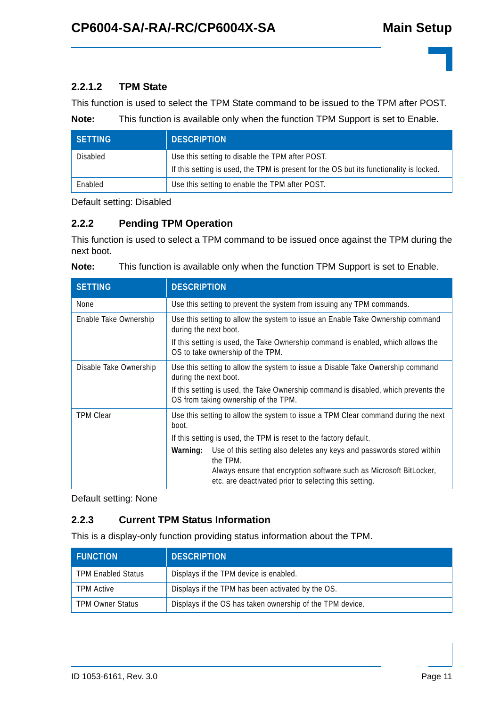#### <span id="page-16-0"></span>**2.2.1.2 TPM State**

This function is used to select the TPM State command to be issued to the TPM after POST.

**Note:** This function is available only when the function TPM Support is set to Enable.

| SETTING  | <b>DESCRIPTION</b>                                                                                                                         |
|----------|--------------------------------------------------------------------------------------------------------------------------------------------|
| Disabled | Use this setting to disable the TPM after POST.<br>If this setting is used, the TPM is present for the OS but its functionality is locked. |
| Enabled  | Use this setting to enable the TPM after POST.                                                                                             |

Default setting: Disabled

#### <span id="page-16-1"></span>**2.2.2 Pending TPM Operation**

This function is used to select a TPM command to be issued once against the TPM during the next boot.

| <b>SETTING</b>         | <b>DESCRIPTION</b>                                                                                                           |  |  |
|------------------------|------------------------------------------------------------------------------------------------------------------------------|--|--|
| None                   | Use this setting to prevent the system from issuing any TPM commands.                                                        |  |  |
| Enable Take Ownership  | Use this setting to allow the system to issue an Enable Take Ownership command<br>during the next boot.                      |  |  |
|                        | If this setting is used, the Take Ownership command is enabled, which allows the<br>OS to take ownership of the TPM.         |  |  |
| Disable Take Ownership | Use this setting to allow the system to issue a Disable Take Ownership command<br>during the next boot.                      |  |  |
|                        | If this setting is used, the Take Ownership command is disabled, which prevents the<br>OS from taking ownership of the TPM.  |  |  |
| <b>TPM Clear</b>       | Use this setting to allow the system to issue a TPM Clear command during the next<br>boot.                                   |  |  |
|                        | If this setting is used, the TPM is reset to the factory default.                                                            |  |  |
|                        | Use of this setting also deletes any keys and passwords stored within<br>Warning:<br>the TPM.                                |  |  |
|                        | Always ensure that encryption software such as Microsoft BitLocker,<br>etc. are deactivated prior to selecting this setting. |  |  |

| Note: |  |  | This function is available only when the function TPM Support is set to Enable. |
|-------|--|--|---------------------------------------------------------------------------------|
|-------|--|--|---------------------------------------------------------------------------------|

Default setting: None

#### <span id="page-16-2"></span>**2.2.3 Current TPM Status Information**

This is a display-only function providing status information about the TPM.

| <b>FUNCTION</b>           | <b>DESCRIPTION</b>                                        |
|---------------------------|-----------------------------------------------------------|
| <b>TPM Enabled Status</b> | Displays if the TPM device is enabled.                    |
| <b>TPM Active</b>         | Displays if the TPM has been activated by the OS.         |
| <b>TPM Owner Status</b>   | Displays if the OS has taken ownership of the TPM device. |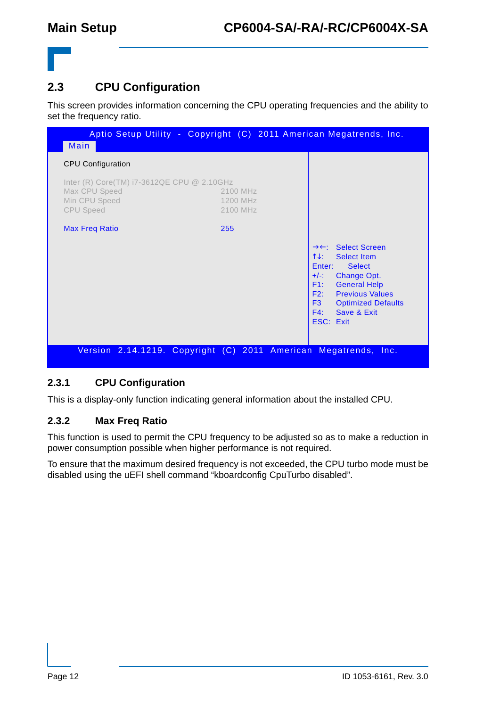### <span id="page-17-0"></span>**2.3 CPU Configuration**

This screen provides information concerning the CPU operating frequencies and the ability to set the frequency ratio.

| Aptio Setup Utility - Copyright (C) 2011 American Megatrends, Inc.<br><b>Main</b>                |                                  |                                                                                                                                                                                                                                                                    |
|--------------------------------------------------------------------------------------------------|----------------------------------|--------------------------------------------------------------------------------------------------------------------------------------------------------------------------------------------------------------------------------------------------------------------|
| <b>CPU Configuration</b>                                                                         |                                  |                                                                                                                                                                                                                                                                    |
| Inter (R) Core(TM) i7-3612QE CPU @ 2.10GHz<br>Max CPU Speed<br>Min CPU Speed<br><b>CPU Speed</b> | 2100 MHz<br>1200 MHz<br>2100 MHz |                                                                                                                                                                                                                                                                    |
| <b>Max Freq Ratio</b>                                                                            | 255                              |                                                                                                                                                                                                                                                                    |
|                                                                                                  |                                  | $\rightarrow \leftarrow$ : Select Screen<br>$\uparrow \downarrow$ :<br><b>Select Item</b><br><b>Select</b><br>Enter:<br>$+/-:$<br>Change Opt.<br><b>General Help</b><br>F1:<br>F2: Previous Values<br><b>F3</b> Optimized Defaults<br>F4: Save & Exit<br>ESC: Exit |
| Version 2.14.1219. Copyright (C) 2011 American Megatrends,                                       |                                  | $ln c$ .                                                                                                                                                                                                                                                           |

#### <span id="page-17-1"></span>**2.3.1 CPU Configuration**

This is a display-only function indicating general information about the installed CPU.

#### <span id="page-17-2"></span>**2.3.2 Max Freq Ratio**

This function is used to permit the CPU frequency to be adjusted so as to make a reduction in power consumption possible when higher performance is not required.

To ensure that the maximum desired frequency is not exceeded, the CPU turbo mode must be disabled using the uEFI shell command "kboardconfig CpuTurbo disabled".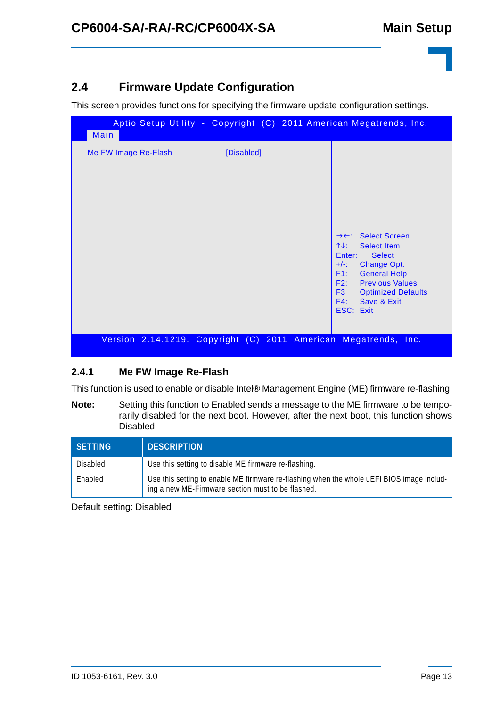### <span id="page-18-0"></span>**2.4 Firmware Update Configuration**

This screen provides functions for specifying the firmware update configuration settings.

| Main                 |            | Aptio Setup Utility - Copyright (C) 2011 American Megatrends, Inc.                                                                                                                                                                                                               |
|----------------------|------------|----------------------------------------------------------------------------------------------------------------------------------------------------------------------------------------------------------------------------------------------------------------------------------|
| Me FW Image Re-Flash | [Disabled] | $\rightarrow \leftarrow$ : Select Screen<br>$\uparrow \downarrow$ :<br><b>Select Item</b><br><b>Select</b><br>Enter:<br>$+/-$ :<br>Change Opt.<br>F1:<br><b>General Help</b><br>F2:<br><b>Previous Values</b><br><b>F3</b> Optimized Defaults<br>F4:<br>Save & Exit<br>ESC: Exit |
| Version              |            | 2.14.1219. Copyright (C) 2011 American Megatrends, Inc.                                                                                                                                                                                                                          |

#### <span id="page-18-1"></span>**2.4.1 Me FW Image Re-Flash**

This function is used to enable or disable Intel® Management Engine (ME) firmware re-flashing.

**Note:** Setting this function to Enabled sends a message to the ME firmware to be temporarily disabled for the next boot. However, after the next boot, this function shows Disabled.

| I SETTING | <b>DESCRIPTION</b>                                                                                                                             |
|-----------|------------------------------------------------------------------------------------------------------------------------------------------------|
| Disabled  | Use this setting to disable ME firmware re-flashing.                                                                                           |
| Enabled   | Use this setting to enable ME firmware re-flashing when the whole uEFI BIOS image includ-<br>ing a new ME-Firmware section must to be flashed. |

Default setting: Disabled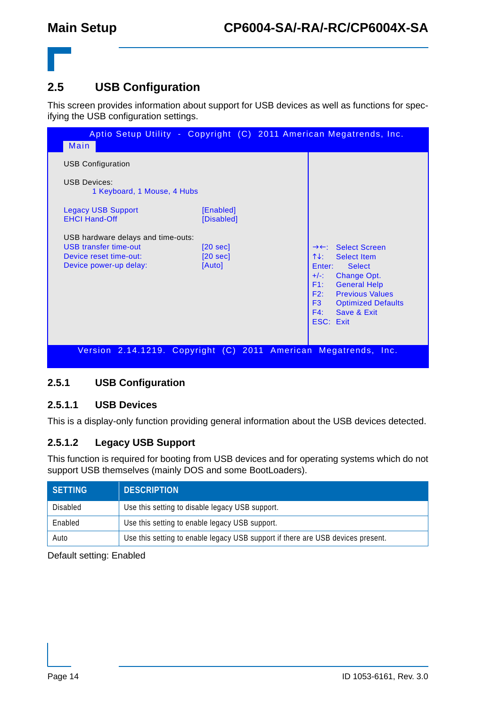### <span id="page-19-0"></span>**2.5 USB Configuration**

This screen provides information about support for USB devices as well as functions for specifying the USB configuration settings.

| <b>Main</b>                                                                                                            | Aptio Setup Utility - Copyright (C) 2011 American Megatrends, Inc. |                                                                                                                                                                                                                                                                                      |
|------------------------------------------------------------------------------------------------------------------------|--------------------------------------------------------------------|--------------------------------------------------------------------------------------------------------------------------------------------------------------------------------------------------------------------------------------------------------------------------------------|
| <b>USB Configuration</b>                                                                                               |                                                                    |                                                                                                                                                                                                                                                                                      |
| <b>USB Devices:</b><br>1 Keyboard, 1 Mouse, 4 Hubs                                                                     |                                                                    |                                                                                                                                                                                                                                                                                      |
| <b>Legacy USB Support</b><br><b>EHCI Hand-Off</b>                                                                      | [Enabled]<br>[Disabled]                                            |                                                                                                                                                                                                                                                                                      |
| USB hardware delays and time-outs:<br><b>USB transfer time-out</b><br>Device reset time-out:<br>Device power-up delay: | $[20 \text{ sec}]$<br>$[20 \text{ sec}]$<br>[Auto]                 | $\rightarrow \leftarrow$ : Select Screen<br>$\uparrow \downarrow$ :<br><b>Select Item</b><br><b>Select</b><br>Enter:<br>$+/-:$<br>Change Opt.<br><b>General Help</b><br>F1:<br>F2: Previous Values<br>F <sub>3</sub><br><b>Optimized Defaults</b><br>F4:<br>Save & Exit<br>ESC: Exit |
| Version 2.14.1219. Copyright (C) 2011 American Megatrends, Inc.                                                        |                                                                    |                                                                                                                                                                                                                                                                                      |

#### <span id="page-19-1"></span>**2.5.1 USB Configuration**

#### <span id="page-19-2"></span>**2.5.1.1 USB Devices**

This is a display-only function providing general information about the USB devices detected.

#### <span id="page-19-3"></span>**2.5.1.2 Legacy USB Support**

This function is required for booting from USB devices and for operating systems which do not support USB themselves (mainly DOS and some BootLoaders).

| <b>SETTING</b>  | <b>DESCRIPTION</b>                                                              |
|-----------------|---------------------------------------------------------------------------------|
| <b>Disabled</b> | Use this setting to disable legacy USB support.                                 |
| Enabled         | Use this setting to enable legacy USB support.                                  |
| Auto            | Use this setting to enable legacy USB support if there are USB devices present. |

Default setting: Enabled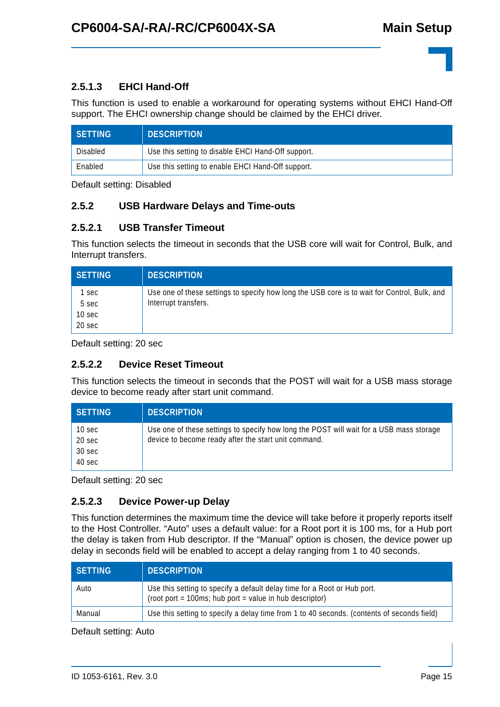

#### <span id="page-20-0"></span>**2.5.1.3 EHCI Hand-Off**

This function is used to enable a workaround for operating systems without EHCI Hand-Off support. The EHCI ownership change should be claimed by the EHCI driver.

| SETTING  | <b>DESCRIPTION</b>                                 |
|----------|----------------------------------------------------|
| Disabled | Use this setting to disable EHCI Hand-Off support. |
| Enabled  | Use this setting to enable EHCI Hand-Off support.  |

Default setting: Disabled

#### <span id="page-20-1"></span>**2.5.2 USB Hardware Delays and Time-outs**

#### <span id="page-20-2"></span>**2.5.2.1 USB Transfer Timeout**

This function selects the timeout in seconds that the USB core will wait for Control, Bulk, and Interrupt transfers.

| <b>SETTING</b> | <b>DESCRIPTION</b>                                                                                                   |
|----------------|----------------------------------------------------------------------------------------------------------------------|
| l sec<br>5 sec | Use one of these settings to specify how long the USB core is to wait for Control, Bulk, and<br>Interrupt transfers. |
| 10 sec         |                                                                                                                      |
| 20 sec         |                                                                                                                      |

Default setting: 20 sec

#### <span id="page-20-3"></span>**2.5.2.2 Device Reset Timeout**

This function selects the timeout in seconds that the POST will wait for a USB mass storage device to become ready after start unit command.

| <b>SETTING</b>                       | <b>DESCRIPTION</b>                                                                                                                              |
|--------------------------------------|-------------------------------------------------------------------------------------------------------------------------------------------------|
| 10 sec<br>20 sec<br>30 sec<br>40 sec | Use one of these settings to specify how long the POST will wait for a USB mass storage<br>device to become ready after the start unit command. |

Default setting: 20 sec

#### <span id="page-20-4"></span>**2.5.2.3 Device Power-up Delay**

This function determines the maximum time the device will take before it properly reports itself to the Host Controller. "Auto" uses a default value: for a Root port it is 100 ms, for a Hub port the delay is taken from Hub descriptor. If the "Manual" option is chosen, the device power up delay in seconds field will be enabled to accept a delay ranging from 1 to 40 seconds.

| SETTING | <b>DESCRIPTION</b>                                                                                                                    |
|---------|---------------------------------------------------------------------------------------------------------------------------------------|
| Auto    | Use this setting to specify a default delay time for a Root or Hub port.<br>$(root$ port = 100ms; hub port = value in hub descriptor) |
| Manual  | Use this setting to specify a delay time from 1 to 40 seconds. (contents of seconds field)                                            |

Default setting: Auto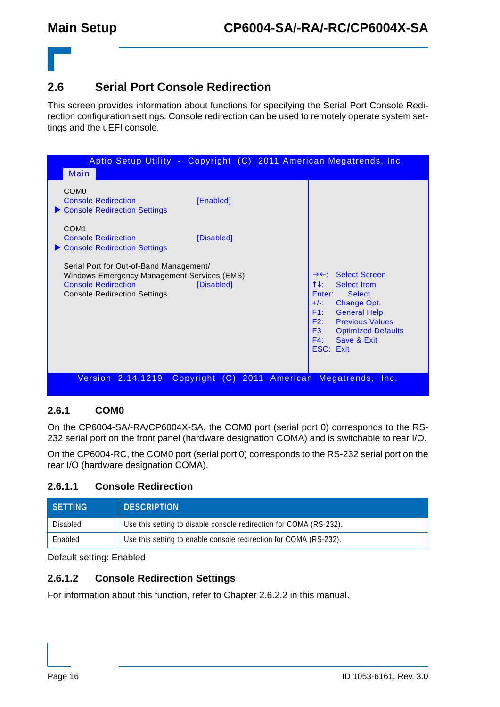

#### <span id="page-21-0"></span>**2.6 Serial Port Console Redirection**

This screen provides information about functions for specifying the Serial Port Console Redirection configuration settings. Console redirection can be used to remotely operate system settings and the uEFI console.



#### <span id="page-21-1"></span>**2.6.1 COM0**

On the CP6004-SA/-RA/CP6004X-SA, the COM0 port (serial port 0) corresponds to the RS-232 serial port on the front panel (hardware designation COMA) and is switchable to rear I/O.

On the CP6004-RC, the COM0 port (serial port 0) corresponds to the RS-232 serial port on the rear I/O (hardware designation COMA).

#### <span id="page-21-2"></span>**2.6.1.1 Console Redirection**

| SETTING  | <b>DESCRIPTION</b>                                                 |
|----------|--------------------------------------------------------------------|
| Disabled | Use this setting to disable console redirection for COMA (RS-232). |
| Enabled  | Use this setting to enable console redirection for COMA (RS-232).  |

Default setting: Enabled

#### <span id="page-21-3"></span>**2.6.1.2 Console Redirection Settings**

For information about this function, refer to Chapter 2.6.2.2 in this manual.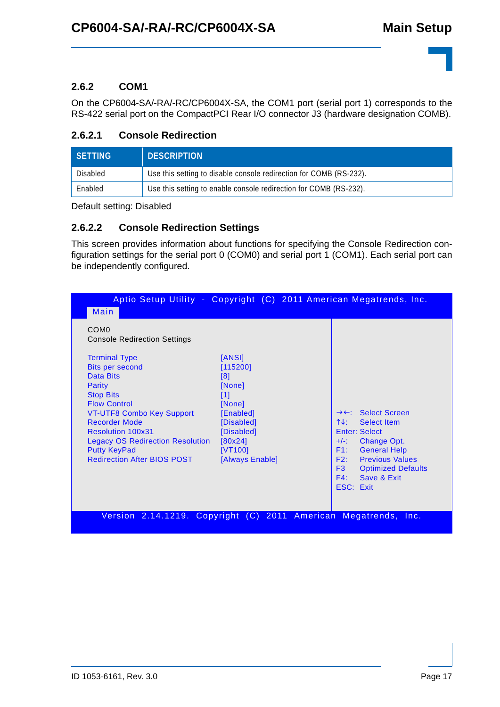

#### <span id="page-22-0"></span>**2.6.2 COM1**

On the CP6004-SA/-RA/-RC/CP6004X-SA, the COM1 port (serial port 1) corresponds to the RS-422 serial port on the CompactPCI Rear I/O connector J3 (hardware designation COMB).

#### <span id="page-22-1"></span>**2.6.2.1 Console Redirection**

| SETTING  | <b>DESCRIPTION</b>                                                 |
|----------|--------------------------------------------------------------------|
| Disabled | Use this setting to disable console redirection for COMB (RS-232). |
| Enabled  | Use this setting to enable console redirection for COMB (RS-232).  |

Default setting: Disabled

#### <span id="page-22-2"></span>**2.6.2.2 Console Redirection Settings**

This screen provides information about functions for specifying the Console Redirection configuration settings for the serial port 0 (COM0) and serial port 1 (COM1). Each serial port can be independently configured.

| <b>Main</b>                                                                                                                                                                                                                                                                                                                                                                        | Aptio Setup Utility - Copyright (C) 2011 American Megatrends, Inc.                                                                       |                                                                                                                                                                                                                                                                    |
|------------------------------------------------------------------------------------------------------------------------------------------------------------------------------------------------------------------------------------------------------------------------------------------------------------------------------------------------------------------------------------|------------------------------------------------------------------------------------------------------------------------------------------|--------------------------------------------------------------------------------------------------------------------------------------------------------------------------------------------------------------------------------------------------------------------|
| COM <sub>0</sub><br><b>Console Redirection Settings</b><br><b>Terminal Type</b><br><b>Bits per second</b><br>Data Bits<br><b>Parity</b><br><b>Stop Bits</b><br><b>Flow Control</b><br><b>VT-UTF8 Combo Key Support</b><br><b>Recorder Mode</b><br><b>Resolution 100x31</b><br><b>Legacy OS Redirection Resolution</b><br><b>Putty KeyPad</b><br><b>Redirection After BIOS POST</b> | [ANSI]<br>[115200]<br>[8]<br>[None]<br>$[1]$<br>[None]<br>[Enabled]<br>[Disabled]<br>[Disabled]<br>[80x24]<br>[VT100]<br>[Always Enable] | $\rightarrow \leftarrow$ : Select Screen<br>$\uparrow \downarrow$ : Select Item<br><b>Enter: Select</b><br>Change Opt.<br>$+/-:$<br><b>General Help</b><br>F1:<br>F <sub>2</sub> : Previous Values<br><b>F3</b> Optimized Defaults<br>F4: Save & Exit<br>ESC: Exit |
|                                                                                                                                                                                                                                                                                                                                                                                    | Version 2.14.1219. Copyright (C) 2011 American Megatrends, Inc.                                                                          |                                                                                                                                                                                                                                                                    |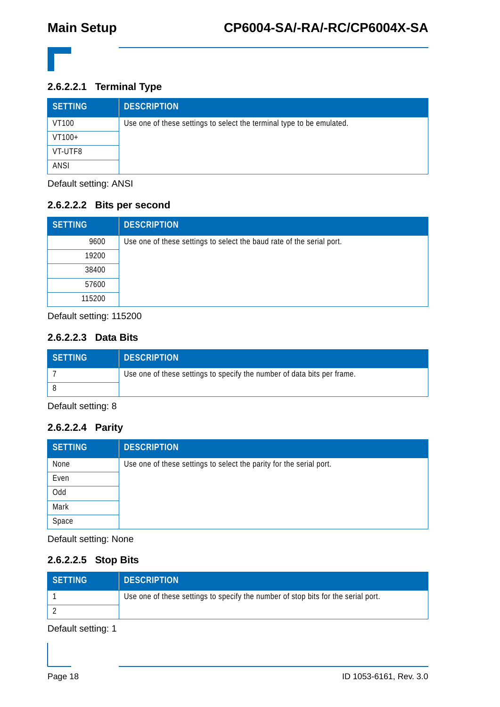#### **2.6.2.2.1 Terminal Type**

| <b>SETTING</b> | <b>DESCRIPTION</b>                                                    |
|----------------|-----------------------------------------------------------------------|
| VT100          | Use one of these settings to select the terminal type to be emulated. |
| VT100+         |                                                                       |
| VT-UTF8        |                                                                       |
| ANSI           |                                                                       |

Default setting: ANSI

#### **2.6.2.2.2 Bits per second**

| <b>SETTING</b> | <b>DESCRIPTION</b>                                                    |
|----------------|-----------------------------------------------------------------------|
| 9600           | Use one of these settings to select the baud rate of the serial port. |
| 19200          |                                                                       |
| 38400          |                                                                       |
| 57600          |                                                                       |
| 115200         |                                                                       |

Default setting: 115200

#### **2.6.2.2.3 Data Bits**

| SETTING | <b>DESCRIPTION</b>                                                      |
|---------|-------------------------------------------------------------------------|
|         | Use one of these settings to specify the number of data bits per frame. |
|         |                                                                         |

Default setting: 8

#### **2.6.2.2.4 Parity**

| <b>SETTING</b> | <b>DESCRIPTION</b>                                                  |
|----------------|---------------------------------------------------------------------|
| None           | Use one of these settings to select the parity for the serial port. |
| Even           |                                                                     |
| Odd            |                                                                     |
| Mark           |                                                                     |
| Space          |                                                                     |

Default setting: None

#### **2.6.2.2.5 Stop Bits**

| <b>SETTING</b> | <b>DESCRIPTION</b>                                                                |
|----------------|-----------------------------------------------------------------------------------|
|                | Use one of these settings to specify the number of stop bits for the serial port. |
|                |                                                                                   |

Default setting: 1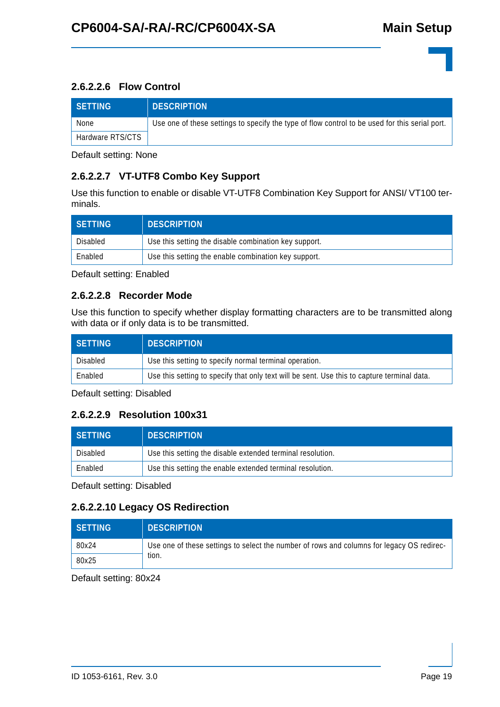#### **2.6.2.2.6 Flow Control**

| <b>SETTING</b>   | <b>DESCRIPTION</b>                                                                             |
|------------------|------------------------------------------------------------------------------------------------|
| None             | Use one of these settings to specify the type of flow control to be used for this serial port. |
| Hardware RTS/CTS |                                                                                                |

Default setting: None

#### **2.6.2.2.7 VT-UTF8 Combo Key Support**

Use this function to enable or disable VT-UTF8 Combination Key Support for ANSI/ VT100 terminals.

| <b>SETTING</b> | <b>DESCRIPTION</b>                                    |
|----------------|-------------------------------------------------------|
| Disabled       | Use this setting the disable combination key support. |
| Enabled        | Use this setting the enable combination key support.  |

Default setting: Enabled

#### **2.6.2.2.8 Recorder Mode**

Use this function to specify whether display formatting characters are to be transmitted along with data or if only data is to be transmitted.

| <b>SETTING</b> | <b>DESCRIPTION</b>                                                                          |
|----------------|---------------------------------------------------------------------------------------------|
| Disabled       | Use this setting to specify normal terminal operation.                                      |
| Enabled        | Use this setting to specify that only text will be sent. Use this to capture terminal data. |

Default setting: Disabled

#### **2.6.2.2.9 Resolution 100x31**

| I SETTING | <b>DESCRIPTION</b>                                         |
|-----------|------------------------------------------------------------|
| Disabled  | Use this setting the disable extended terminal resolution. |
| Enabled   | Use this setting the enable extended terminal resolution.  |

Default setting: Disabled

#### **2.6.2.2.10 Legacy OS Redirection**

| SETTING | <b>DESCRIPTION</b>                                                                        |
|---------|-------------------------------------------------------------------------------------------|
| 80x24   | Use one of these settings to select the number of rows and columns for legacy OS redirec- |
| 80x25   | tion.                                                                                     |

Default setting: 80x24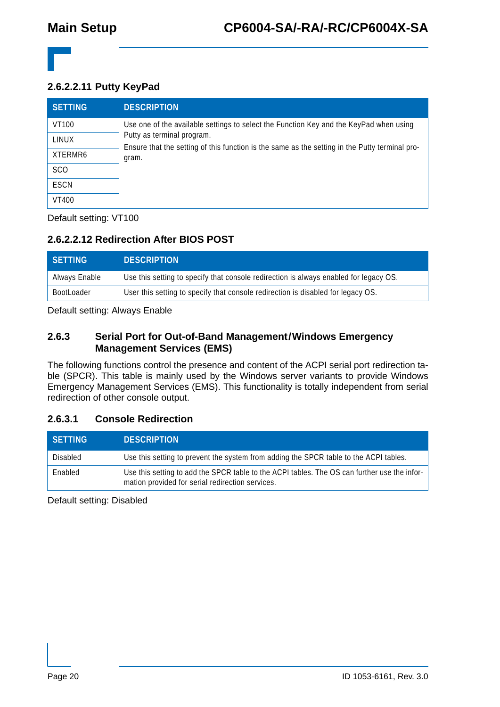#### **2.6.2.2.11 Putty KeyPad**

| <b>SETTING</b> | <b>DESCRIPTION</b>                                                                                                           |
|----------------|------------------------------------------------------------------------------------------------------------------------------|
| VT100          | Use one of the available settings to select the Function Key and the KeyPad when using                                       |
| LINUX          | Putty as terminal program.<br>Ensure that the setting of this function is the same as the setting in the Putty terminal pro- |
| XTERMR6        | gram.                                                                                                                        |
| <b>SCO</b>     |                                                                                                                              |
| ESCN           |                                                                                                                              |
| VT400          |                                                                                                                              |

Default setting: VT100

#### **2.6.2.2.12 Redirection After BIOS POST**

| <b>SETTING</b> | <b>DESCRIPTION</b>                                                                    |
|----------------|---------------------------------------------------------------------------------------|
| Always Enable  | Use this setting to specify that console redirection is always enabled for legacy OS. |
| BootLoader     | User this setting to specify that console redirection is disabled for legacy OS.      |

Default setting: Always Enable

#### <span id="page-25-0"></span>**2.6.3 Serial Port for Out-of-Band Management/Windows Emergency Management Services (EMS)**

The following functions control the presence and content of the ACPI serial port redirection table (SPCR). This table is mainly used by the Windows server variants to provide Windows Emergency Management Services (EMS). This functionality is totally independent from serial redirection of other console output.

#### <span id="page-25-1"></span>**2.6.3.1 Console Redirection**

| SETTING  | <b>DESCRIPTION</b>                                                                                                                               |
|----------|--------------------------------------------------------------------------------------------------------------------------------------------------|
| Disabled | Use this setting to prevent the system from adding the SPCR table to the ACPI tables.                                                            |
| Enabled  | Use this setting to add the SPCR table to the ACPI tables. The OS can further use the infor-<br>mation provided for serial redirection services. |

Default setting: Disabled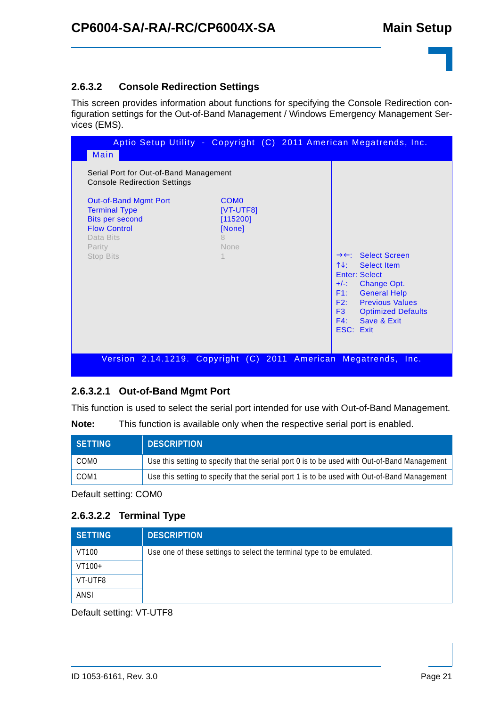

#### <span id="page-26-0"></span>**2.6.3.2 Console Redirection Settings**

This screen provides information about functions for specifying the Console Redirection configuration settings for the Out-of-Band Management / Windows Emergency Management Services (EMS).

| Aptio Setup Utility - Copyright (C) 2011 American Megatrends, Inc.<br>Main                                                                       |                                                                  |                                                                                                                                                                                                                                                                                    |
|--------------------------------------------------------------------------------------------------------------------------------------------------|------------------------------------------------------------------|------------------------------------------------------------------------------------------------------------------------------------------------------------------------------------------------------------------------------------------------------------------------------------|
| Serial Port for Out-of-Band Management<br><b>Console Redirection Settings</b>                                                                    |                                                                  |                                                                                                                                                                                                                                                                                    |
| <b>Out-of-Band Mgmt Port</b><br><b>Terminal Type</b><br><b>Bits per second</b><br><b>Flow Control</b><br>Data Bits<br>Parity<br><b>Stop Bits</b> | <b>COMO</b><br>[VT-UTF8]<br>[115200]<br>[None]<br>8<br>None<br>1 | $\rightarrow \leftarrow$ : Select Screen<br>$\uparrow \downarrow$ :<br><b>Select Item</b><br><b>Enter: Select</b><br>$+/-$ :<br>Change Opt.<br>F1:<br><b>General Help</b><br>F2: Previous Values<br><b>Optimized Defaults</b><br>F <sub>3</sub><br>Save & Exit<br>F4:<br>ESC: Exit |
| Version 2.14.1219. Copyright (C)                                                                                                                 |                                                                  | 2011 American Megatrends, Inc.                                                                                                                                                                                                                                                     |

#### **2.6.3.2.1 Out-of-Band Mgmt Port**

This function is used to select the serial port intended for use with Out-of-Band Management.

**Note:** This function is available only when the respective serial port is enabled.

| I SETTING | <b>DESCRIPTION</b>                                                                           |
|-----------|----------------------------------------------------------------------------------------------|
| COM0      | Use this setting to specify that the serial port 0 is to be used with Out-of-Band Management |
| COM1      | Use this setting to specify that the serial port 1 is to be used with Out-of-Band Management |

Default setting: COM0

#### **2.6.3.2.2 Terminal Type**

| <b>SETTING</b> | <b>DESCRIPTION</b>                                                    |
|----------------|-----------------------------------------------------------------------|
| VT100          | Use one of these settings to select the terminal type to be emulated. |
| $VT100+$       |                                                                       |
| VT-UTF8        |                                                                       |
| ANSI           |                                                                       |

Default setting: VT-UTF8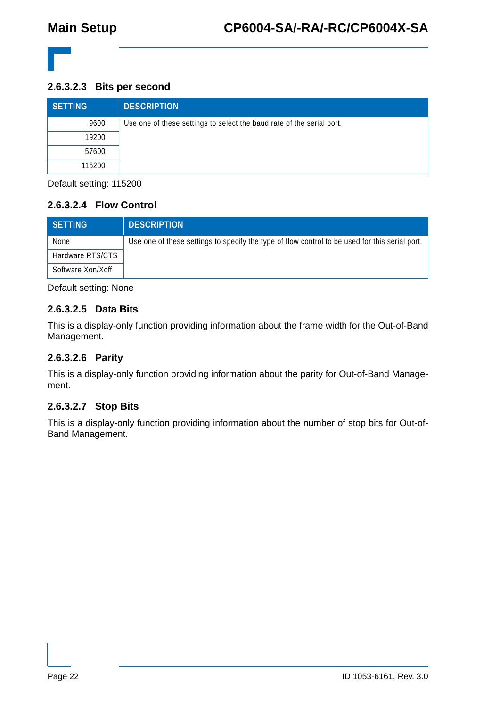#### **2.6.3.2.3 Bits per second**

| <b>SETTING</b> | <b>DESCRIPTION</b>                                                    |
|----------------|-----------------------------------------------------------------------|
| 9600           | Use one of these settings to select the baud rate of the serial port. |
| 19200          |                                                                       |
| 57600          |                                                                       |
| 115200         |                                                                       |

Default setting: 115200

#### **2.6.3.2.4 Flow Control**

| SETTING           | <b>DESCRIPTION</b>                                                                             |
|-------------------|------------------------------------------------------------------------------------------------|
| None              | Use one of these settings to specify the type of flow control to be used for this serial port. |
| Hardware RTS/CTS  |                                                                                                |
| Software Xon/Xoff |                                                                                                |

Default setting: None

#### **2.6.3.2.5 Data Bits**

This is a display-only function providing information about the frame width for the Out-of-Band Management.

#### **2.6.3.2.6 Parity**

This is a display-only function providing information about the parity for Out-of-Band Management.

#### **2.6.3.2.7 Stop Bits**

This is a display-only function providing information about the number of stop bits for Out-of-Band Management.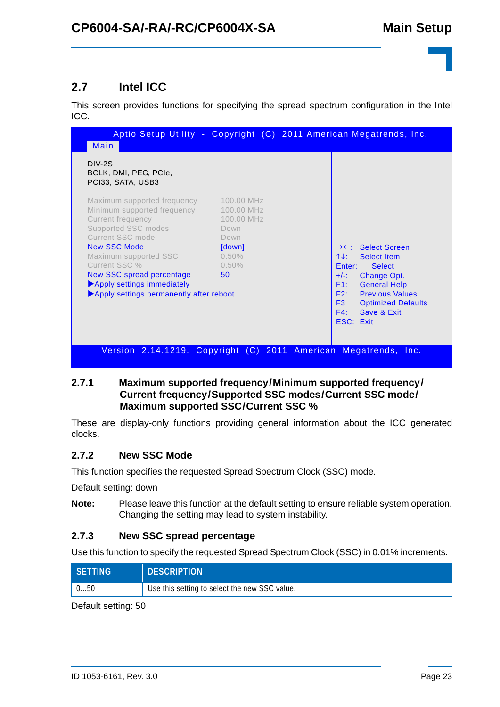

### <span id="page-28-0"></span>**2.7 Intel ICC**

This screen provides functions for specifying the spread spectrum configuration in the Intel ICC.

| DIV-2S<br>BCLK, DMI, PEG, PCIe,<br>PCI33, SATA, USB3<br>Maximum supported frequency<br>100.00 MHz<br>Minimum supported frequency<br>100.00 MHz<br>Current frequency<br>100,00 MHz<br>Supported SSC modes<br>Down<br>Current SSC mode<br>Down<br><b>New SSC Mode</b><br>[down]<br>$\rightarrow \leftarrow$ : Select Screen<br>Maximum supported SSC<br>0.50%<br>$\uparrow \downarrow$ :<br><b>Select Item</b><br>Current SSC %<br>$0.50\%$<br>Enter:<br><b>Select</b><br><b>New SSC spread percentage</b><br>50<br>$+/-$ :<br>Change Opt. | Aptio Setup Utility - Copyright (C) 2011 American Megatrends, Inc.<br>Main |
|------------------------------------------------------------------------------------------------------------------------------------------------------------------------------------------------------------------------------------------------------------------------------------------------------------------------------------------------------------------------------------------------------------------------------------------------------------------------------------------------------------------------------------------|----------------------------------------------------------------------------|
|                                                                                                                                                                                                                                                                                                                                                                                                                                                                                                                                          |                                                                            |
| Apply settings immediately<br><b>General Help</b><br>F1:<br><b>Previous Values</b><br>Apply settings permanently after reboot<br>F2:<br>F <sub>3</sub><br><b>Optimized Defaults</b><br>Save & Exit<br>FA:<br>ESC: Exit                                                                                                                                                                                                                                                                                                                   |                                                                            |

#### <span id="page-28-1"></span>**2.7.1 Maximum supported frequency/Minimum supported frequency/ Current frequency/Supported SSC modes/Current SSC mode/ Maximum supported SSC/Current SSC %**

These are display-only functions providing general information about the ICC generated clocks.

#### <span id="page-28-2"></span>**2.7.2 New SSC Mode**

This function specifies the requested Spread Spectrum Clock (SSC) mode.

Default setting: down

**Note:** Please leave this function at the default setting to ensure reliable system operation. Changing the setting may lead to system instability.

#### <span id="page-28-3"></span>**2.7.3 New SSC spread percentage**

Use this function to specify the requested Spread Spectrum Clock (SSC) in 0.01% increments.

| SETTING | <b>DESCRIPTION</b>                            |
|---------|-----------------------------------------------|
| 050     | Use this setting to select the new SSC value. |

Default setting: 50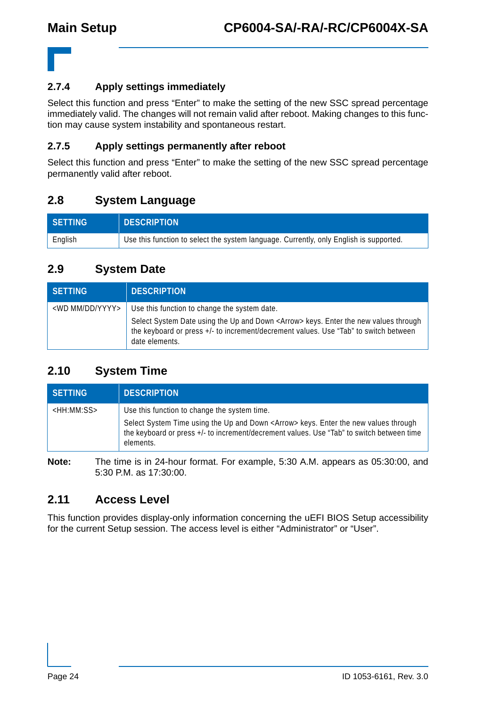

#### <span id="page-29-0"></span>**2.7.4 Apply settings immediately**

Select this function and press "Enter" to make the setting of the new SSC spread percentage immediately valid. The changes will not remain valid after reboot. Making changes to this function may cause system instability and spontaneous restart.

#### <span id="page-29-1"></span>**2.7.5 Apply settings permanently after reboot**

Select this function and press "Enter" to make the setting of the new SSC spread percentage permanently valid after reboot.

#### <span id="page-29-2"></span>**2.8 System Language**

| <b>SETTING</b> | <b>DESCRIPTION</b>                                                                     |
|----------------|----------------------------------------------------------------------------------------|
| <b>English</b> | Use this function to select the system language. Currently, only English is supported. |

#### <span id="page-29-3"></span>**2.9 System Date**

| <b>SETTING</b>                | <b>DESCRIPTION</b>                                                                                                                                                                                                                                      |
|-------------------------------|---------------------------------------------------------------------------------------------------------------------------------------------------------------------------------------------------------------------------------------------------------|
| <wd dd="" mm="" yyyy=""></wd> | Use this function to change the system date.<br>Select System Date using the Up and Down <arrow> keys. Enter the new values through<br/>the keyboard or press +/- to increment/decrement values. Use "Tab" to switch between<br/>date elements.</arrow> |

#### <span id="page-29-4"></span>**2.10 System Time**

| <b>SETTING</b>        | <b>DESCRIPTION</b>                                                                                                                                                                                                                                      |
|-----------------------|---------------------------------------------------------------------------------------------------------------------------------------------------------------------------------------------------------------------------------------------------------|
| <hh:mm:ss></hh:mm:ss> | Use this function to change the system time.<br>Select System Time using the Up and Down <arrow> keys. Enter the new values through<br/>the keyboard or press +/- to increment/decrement values. Use "Tab" to switch between time<br/>elements.</arrow> |

**Note:** The time is in 24-hour format. For example, 5:30 A.M. appears as 05:30:00, and 5:30 P.M. as 17:30:00.

#### <span id="page-29-5"></span>**2.11 Access Level**

This function provides display-only information concerning the uEFI BIOS Setup accessibility for the current Setup session. The access level is either "Administrator" or "User".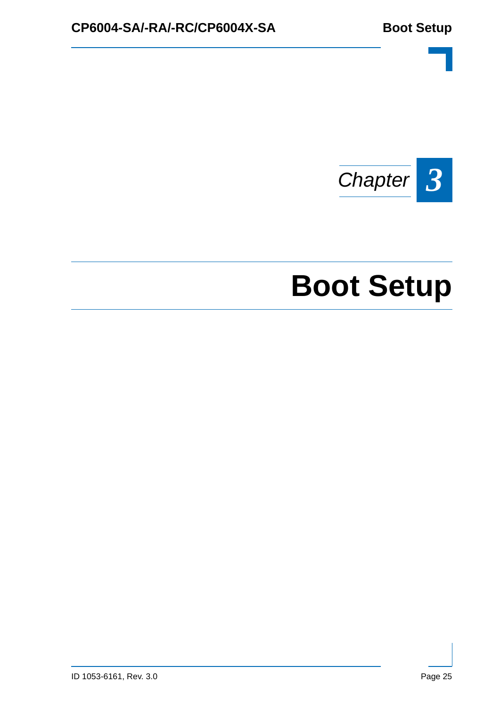

# **Boot Setup**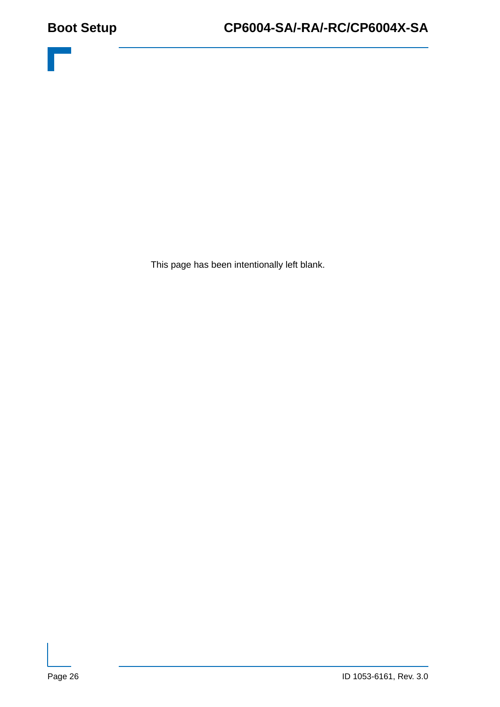

This page has been intentionally left blank.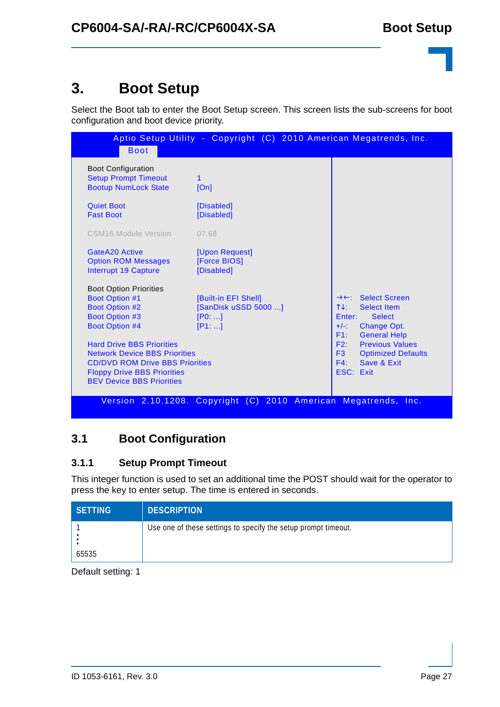

# <span id="page-32-0"></span>**3. Boot Setup**

Select the Boot tab to enter the Boot Setup screen. This screen lists the sub-screens for boot configuration and boot device priority.

| <b>Boot</b>                                                                                                                                                                                                                                                                                                                                                                                         | Aptio Setup Utility - Copyright (C) 2010 American Megatrends, Inc. |                                                                                                                                                                                                                                                                                  |
|-----------------------------------------------------------------------------------------------------------------------------------------------------------------------------------------------------------------------------------------------------------------------------------------------------------------------------------------------------------------------------------------------------|--------------------------------------------------------------------|----------------------------------------------------------------------------------------------------------------------------------------------------------------------------------------------------------------------------------------------------------------------------------|
| <b>Boot Configuration</b><br><b>Setup Prompt Timeout</b><br><b>Bootup NumLock State</b>                                                                                                                                                                                                                                                                                                             | 1.<br>[On]                                                         |                                                                                                                                                                                                                                                                                  |
| <b>Quiet Boot</b><br><b>Fast Boot</b>                                                                                                                                                                                                                                                                                                                                                               | [Disabled]<br>[Disabled]                                           |                                                                                                                                                                                                                                                                                  |
| CSM16 Module Version                                                                                                                                                                                                                                                                                                                                                                                | 07.68                                                              |                                                                                                                                                                                                                                                                                  |
| GateA20 Active<br><b>Option ROM Messages</b><br>Interrupt 19 Capture                                                                                                                                                                                                                                                                                                                                | [Upon Request]<br>[Force BIOS]<br>[Disabled]                       |                                                                                                                                                                                                                                                                                  |
| <b>Boot Option Priorities</b><br><b>Boot Option #1</b><br>[Built-in EFI Shell]<br><b>Boot Option #2</b><br>[SanDisk uSSD 5000 ]<br><b>Boot Option #3</b><br>[PO:]<br><b>Boot Option #4</b><br>[P1:]<br><b>Hard Drive BBS Priorities</b><br><b>Network Device BBS Priorities</b><br><b>CD/DVD ROM Drive BBS Priorities</b><br><b>Floppy Drive BBS Priorities</b><br><b>BEV Device BBS Priorities</b> |                                                                    | $\rightarrow \leftarrow$ : Select Screen<br>$\uparrow \downarrow$ :<br><b>Select Item</b><br><b>Select</b><br>Enter:<br>$+/-$ : Change Opt.<br>F1:<br><b>General Help</b><br>F2:<br><b>Previous Values</b><br>F3<br><b>Optimized Defaults</b><br>Save & Exit<br>F4:<br>ESC: Exit |
|                                                                                                                                                                                                                                                                                                                                                                                                     | Version 2.10.1208. Copyright (C) 2010 American Megatrends, Inc.    |                                                                                                                                                                                                                                                                                  |

## <span id="page-32-1"></span>**3.1 Boot Configuration**

#### <span id="page-32-2"></span>**3.1.1 Setup Prompt Timeout**

This integer function is used to set an additional time the POST should wait for the operator to press the key to enter setup. The time is entered in seconds.

| <b>SETTING</b> | <b>DESCRIPTION</b>                                             |
|----------------|----------------------------------------------------------------|
| 65535          | Use one of these settings to specify the setup prompt timeout. |

Default setting: 1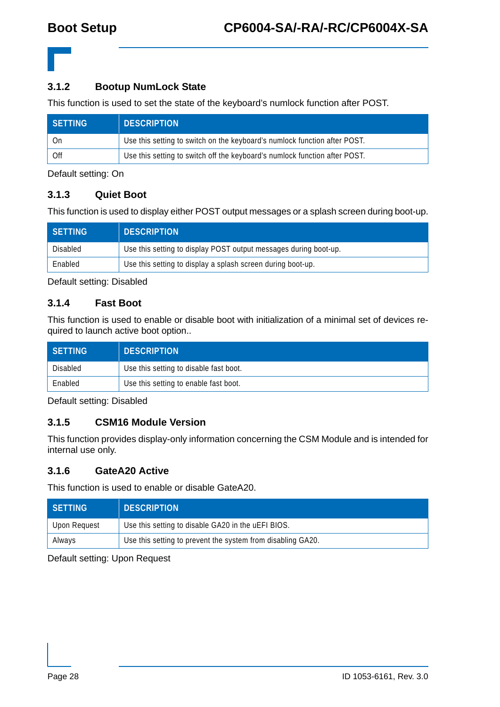

#### <span id="page-33-0"></span>**3.1.2 Bootup NumLock State**

This function is used to set the state of the keyboard's numlock function after POST.

| I SETTING | <b>DESCRIPTION</b>                                                         |
|-----------|----------------------------------------------------------------------------|
| On        | Use this setting to switch on the keyboard's numlock function after POST.  |
| Off       | Use this setting to switch off the keyboard's numlock function after POST. |

Default setting: On

#### <span id="page-33-1"></span>**3.1.3 Quiet Boot**

This function is used to display either POST output messages or a splash screen during boot-up.

| <b>SETTING</b> | <b>DESCRIPTION</b>                                               |
|----------------|------------------------------------------------------------------|
| Disabled       | Use this setting to display POST output messages during boot-up. |
| Enabled        | Use this setting to display a splash screen during boot-up.      |

Default setting: Disabled

#### <span id="page-33-2"></span>**3.1.4 Fast Boot**

This function is used to enable or disable boot with initialization of a minimal set of devices required to launch active boot option..

| I SETTING | <b>DESCRIPTION</b>                     |
|-----------|----------------------------------------|
| Disabled  | Use this setting to disable fast boot. |
| Enabled   | Use this setting to enable fast boot.  |

Default setting: Disabled

#### <span id="page-33-3"></span>**3.1.5 CSM16 Module Version**

This function provides display-only information concerning the CSM Module and is intended for internal use only.

#### <span id="page-33-4"></span>**3.1.6 GateA20 Active**

This function is used to enable or disable GateA20.

| <b>SETTING</b> | <b>DESCRIPTION</b>                                          |
|----------------|-------------------------------------------------------------|
| Upon Request   | Use this setting to disable GA20 in the uEFI BIOS.          |
| Always         | Use this setting to prevent the system from disabling GA20. |

Default setting: Upon Request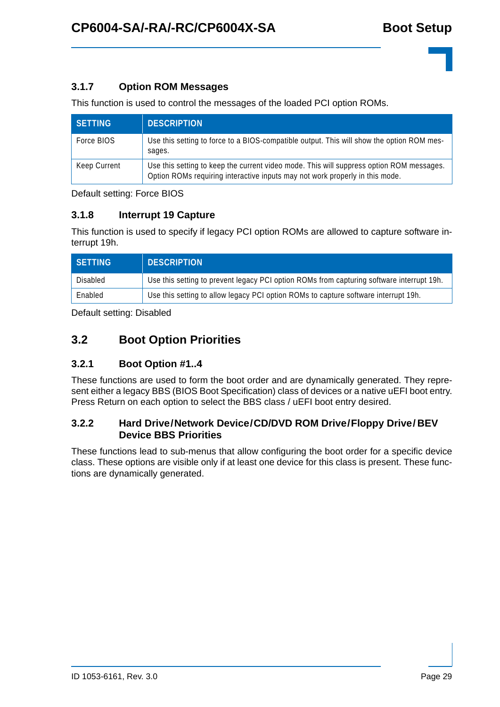

#### <span id="page-34-0"></span>**3.1.7 Option ROM Messages**

This function is used to control the messages of the loaded PCI option ROMs.

| <b>SETTING</b> | <b>DESCRIPTION</b>                                                                                                                                                       |
|----------------|--------------------------------------------------------------------------------------------------------------------------------------------------------------------------|
| Force BIOS     | Use this setting to force to a BIOS-compatible output. This will show the option ROM mes-<br>sages.                                                                      |
| Keep Current   | Use this setting to keep the current video mode. This will suppress option ROM messages.<br>Option ROMs requiring interactive inputs may not work properly in this mode. |

Default setting: Force BIOS

#### <span id="page-34-1"></span>**3.1.8 Interrupt 19 Capture**

This function is used to specify if legacy PCI option ROMs are allowed to capture software interrupt 19h.

| <b>SETTING</b> | <b>DESCRIPTION</b>                                                                        |
|----------------|-------------------------------------------------------------------------------------------|
| Disabled       | Use this setting to prevent legacy PCI option ROMs from capturing software interrupt 19h. |
| Enabled        | Use this setting to allow legacy PCI option ROMs to capture software interrupt 19h.       |

Default setting: Disabled

#### <span id="page-34-2"></span>**3.2 Boot Option Priorities**

#### <span id="page-34-3"></span>**3.2.1 Boot Option #1..4**

These functions are used to form the boot order and are dynamically generated. They represent either a legacy BBS (BIOS Boot Specification) class of devices or a native uEFI boot entry. Press Return on each option to select the BBS class / uEFI boot entry desired.

#### <span id="page-34-4"></span>**3.2.2 Hard Drive/Network Device/CD/DVD ROM Drive/Floppy Drive/ BEV Device BBS Priorities**

These functions lead to sub-menus that allow configuring the boot order for a specific device class. These options are visible only if at least one device for this class is present. These functions are dynamically generated.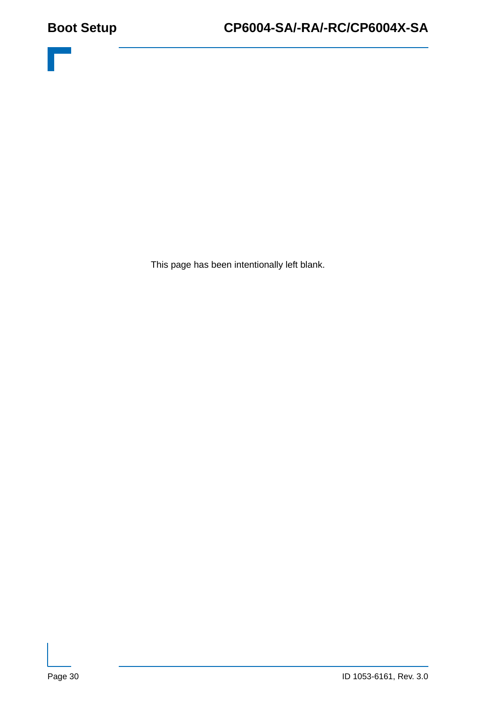

This page has been intentionally left blank.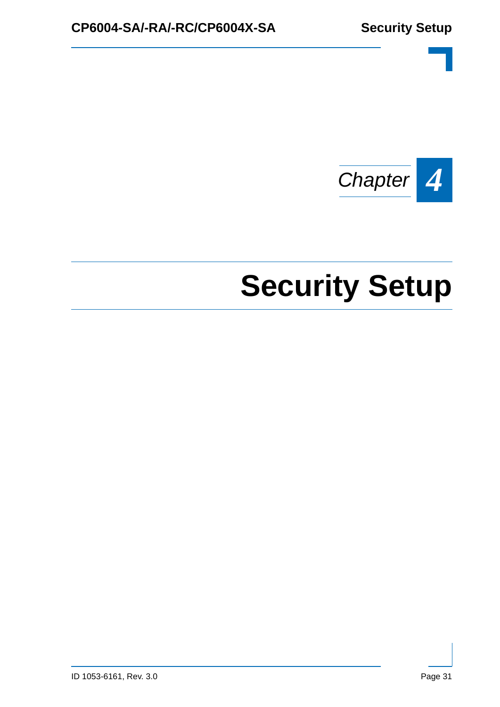

# **Security Setup**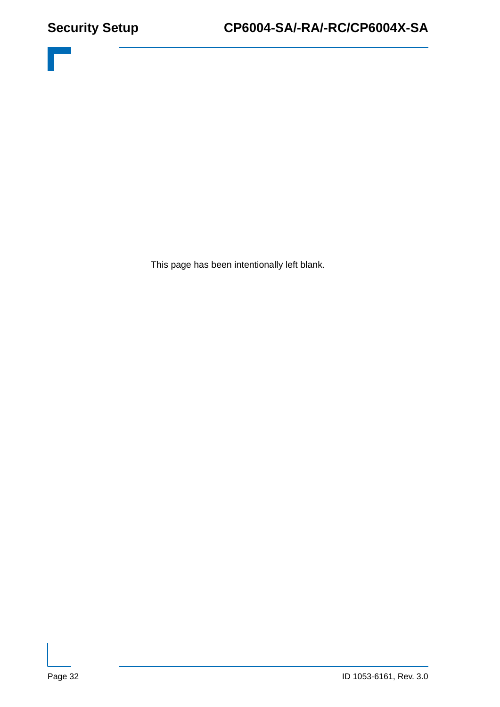

This page has been intentionally left blank.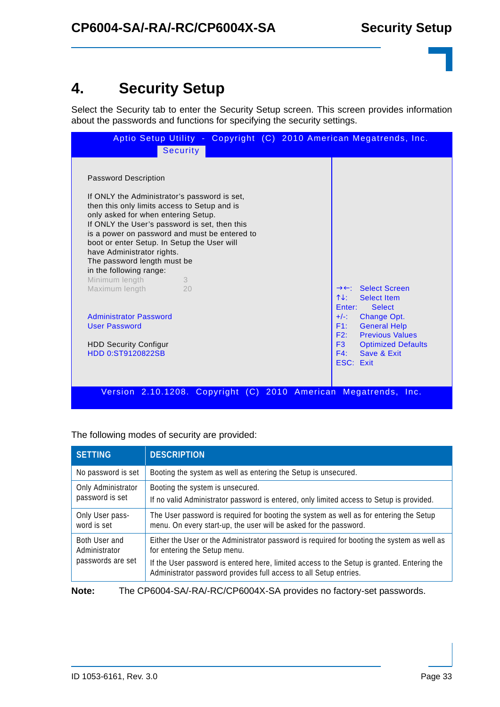# **4. Security Setup**

Select the Security tab to enter the Security Setup screen. This screen provides information about the passwords and functions for specifying the security settings.

|                                                                                                                                                                                                                                                                   | <b>Security</b>                               | Aptio Setup Utility - Copyright (C) 2010 American Megatrends, Inc.                  |
|-------------------------------------------------------------------------------------------------------------------------------------------------------------------------------------------------------------------------------------------------------------------|-----------------------------------------------|-------------------------------------------------------------------------------------|
|                                                                                                                                                                                                                                                                   |                                               |                                                                                     |
| <b>Password Description</b>                                                                                                                                                                                                                                       |                                               |                                                                                     |
| If ONLY the Administrator's password is set.<br>then this only limits access to Setup and is<br>only asked for when entering Setup.<br>If ONLY the User's password is set, then this<br>boot or enter Setup. In Setup the User will<br>have Administrator rights. | is a power on password and must be entered to |                                                                                     |
| The password length must be                                                                                                                                                                                                                                       |                                               |                                                                                     |
| in the following range:                                                                                                                                                                                                                                           |                                               |                                                                                     |
| Minimum length                                                                                                                                                                                                                                                    | 3                                             |                                                                                     |
| Maximum length                                                                                                                                                                                                                                                    | 20                                            | $\rightarrow \leftarrow$ : Select Screen<br>$\uparrow \downarrow$ :<br>Select Item  |
|                                                                                                                                                                                                                                                                   |                                               | Enter:<br><b>Select</b>                                                             |
| <b>Administrator Password</b><br><b>User Password</b>                                                                                                                                                                                                             |                                               | $+/-$<br>Change Opt.<br><b>General Help</b><br>F1:<br>F2:<br><b>Previous Values</b> |
| <b>HDD Security Configur</b>                                                                                                                                                                                                                                      |                                               | F3<br><b>Optimized Defaults</b>                                                     |
| HDD 0:ST9120822SB                                                                                                                                                                                                                                                 |                                               | Save & Exit<br>F4:<br>ESC: Exit                                                     |
|                                                                                                                                                                                                                                                                   |                                               | Version 2.10.1208. Copyright (C) 2010 American Megatrends, Inc.                     |
|                                                                                                                                                                                                                                                                   |                                               |                                                                                     |

The following modes of security are provided:

| <b>SETTING</b>     | <b>DESCRIPTION</b>                                                                                                                                              |
|--------------------|-----------------------------------------------------------------------------------------------------------------------------------------------------------------|
| No password is set | Booting the system as well as entering the Setup is unsecured.                                                                                                  |
| Only Administrator | Booting the system is unsecured.                                                                                                                                |
| password is set    | If no valid Administrator password is entered, only limited access to Setup is provided.                                                                        |
| Only User pass-    | The User password is required for booting the system as well as for entering the Setup                                                                          |
| word is set        | menu. On every start-up, the user will be asked for the password.                                                                                               |
| Both User and      | Either the User or the Administrator password is required for booting the system as well as                                                                     |
| Administrator      | for entering the Setup menu.                                                                                                                                    |
| passwords are set  | If the User password is entered here, limited access to the Setup is granted. Entering the<br>Administrator password provides full access to all Setup entries. |

**Note:** The CP6004-SA/-RA/-RC/CP6004X-SA provides no factory-set passwords.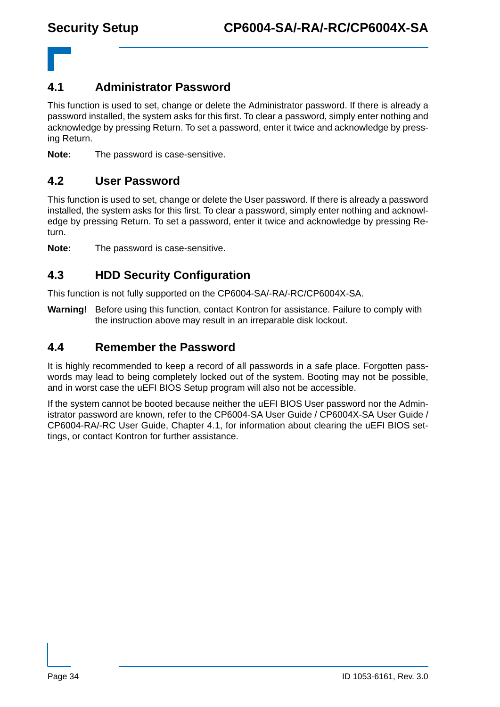

### **4.1 Administrator Password**

This function is used to set, change or delete the Administrator password. If there is already a password installed, the system asks for this first. To clear a password, simply enter nothing and acknowledge by pressing Return. To set a password, enter it twice and acknowledge by pressing Return.

**Note:** The password is case-sensitive.

#### **4.2 User Password**

This function is used to set, change or delete the User password. If there is already a password installed, the system asks for this first. To clear a password, simply enter nothing and acknowledge by pressing Return. To set a password, enter it twice and acknowledge by pressing Return.

**Note:** The password is case-sensitive.

### **4.3 HDD Security Configuration**

This function is not fully supported on the CP6004-SA/-RA/-RC/CP6004X-SA.

**Warning!** Before using this function, contact Kontron for assistance. Failure to comply with the instruction above may result in an irreparable disk lockout.

#### **4.4 Remember the Password**

It is highly recommended to keep a record of all passwords in a safe place. Forgotten passwords may lead to being completely locked out of the system. Booting may not be possible, and in worst case the uEFI BIOS Setup program will also not be accessible.

If the system cannot be booted because neither the uEFI BIOS User password nor the Administrator password are known, refer to the CP6004-SA User Guide / CP6004X-SA User Guide / CP6004-RA/-RC User Guide, Chapter 4.1, for information about clearing the uEFI BIOS settings, or contact Kontron for further assistance.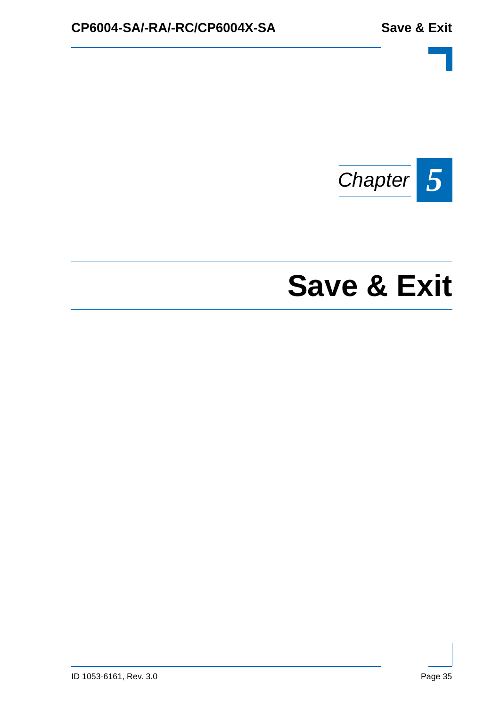

# **Save & Exit**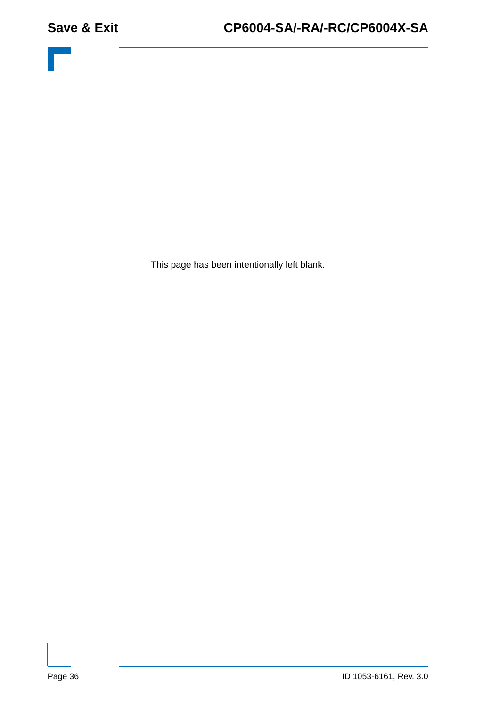

This page has been intentionally left blank.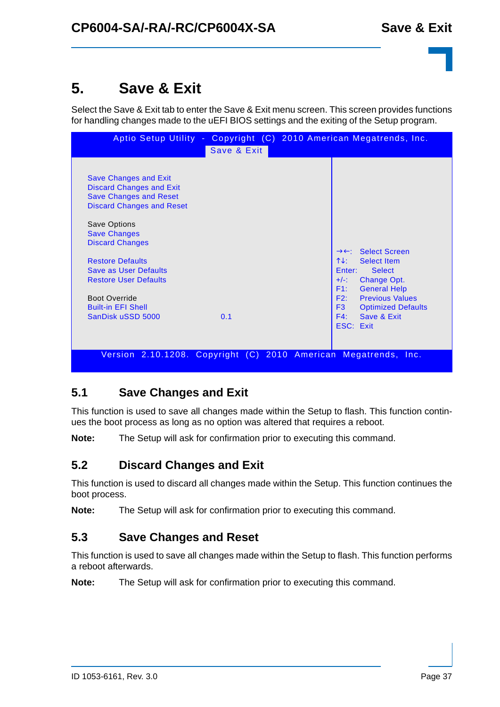# **5. Save & Exit**

Select the Save & Exit tab to enter the Save & Exit menu screen. This screen provides functions for handling changes made to the uEFI BIOS settings and the exiting of the Setup program.

|                                                                 | Save & Exit | Aptio Setup Utility - Copyright (C) 2010 American Megatrends, Inc.                        |
|-----------------------------------------------------------------|-------------|-------------------------------------------------------------------------------------------|
|                                                                 |             |                                                                                           |
| <b>Save Changes and Exit</b><br><b>Discard Changes and Exit</b> |             |                                                                                           |
| <b>Save Changes and Reset</b>                                   |             |                                                                                           |
| <b>Discard Changes and Reset</b>                                |             |                                                                                           |
| Save Options                                                    |             |                                                                                           |
| <b>Save Changes</b>                                             |             |                                                                                           |
| <b>Discard Changes</b>                                          |             |                                                                                           |
| <b>Restore Defaults</b>                                         |             | $\rightarrow \leftarrow$ : Select Screen<br>$\uparrow \downarrow$ :<br><b>Select Item</b> |
| <b>Save as User Defaults</b>                                    |             | <b>Select</b><br>Enter:                                                                   |
| <b>Restore User Defaults</b>                                    |             | $+/-$ :<br>Change Opt.                                                                    |
|                                                                 |             | F1:<br><b>General Help</b>                                                                |
| <b>Boot Override</b>                                            |             | F2: Previous Values                                                                       |
| <b>Built-in EFI Shell</b><br>SanDisk uSSD 5000                  | 0.1         | F3<br><b>Optimized Defaults</b><br>Save & Exit<br>F4:                                     |
|                                                                 |             | <b>ESC: Exit</b>                                                                          |
|                                                                 |             |                                                                                           |
|                                                                 |             |                                                                                           |
| 2.10.1208. Copyright<br>Version                                 | (C)         | 2010 American Megatrends, Inc.                                                            |

# **5.1 Save Changes and Exit**

This function is used to save all changes made within the Setup to flash. This function continues the boot process as long as no option was altered that requires a reboot.

**Note:** The Setup will ask for confirmation prior to executing this command.

### **5.2 Discard Changes and Exit**

This function is used to discard all changes made within the Setup. This function continues the boot process.

**Note:** The Setup will ask for confirmation prior to executing this command.

### **5.3 Save Changes and Reset**

This function is used to save all changes made within the Setup to flash. This function performs a reboot afterwards.

**Note:** The Setup will ask for confirmation prior to executing this command.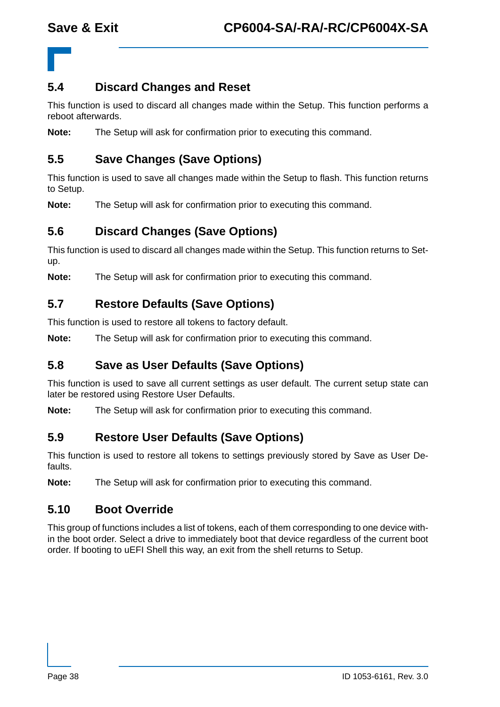

#### **5.4 Discard Changes and Reset**

This function is used to discard all changes made within the Setup. This function performs a reboot afterwards.

**Note:** The Setup will ask for confirmation prior to executing this command.

# **5.5 Save Changes (Save Options)**

This function is used to save all changes made within the Setup to flash. This function returns to Setup.

**Note:** The Setup will ask for confirmation prior to executing this command.

# **5.6 Discard Changes (Save Options)**

This function is used to discard all changes made within the Setup. This function returns to Setup.

**Note:** The Setup will ask for confirmation prior to executing this command.

### **5.7 Restore Defaults (Save Options)**

This function is used to restore all tokens to factory default.

**Note:** The Setup will ask for confirmation prior to executing this command.

### **5.8 Save as User Defaults (Save Options)**

This function is used to save all current settings as user default. The current setup state can later be restored using Restore User Defaults.

**Note:** The Setup will ask for confirmation prior to executing this command.

### **5.9 Restore User Defaults (Save Options)**

This function is used to restore all tokens to settings previously stored by Save as User Defaults.

**Note:** The Setup will ask for confirmation prior to executing this command.

#### **5.10 Boot Override**

This group of functions includes a list of tokens, each of them corresponding to one device within the boot order. Select a drive to immediately boot that device regardless of the current boot order. If booting to uEFI Shell this way, an exit from the shell returns to Setup.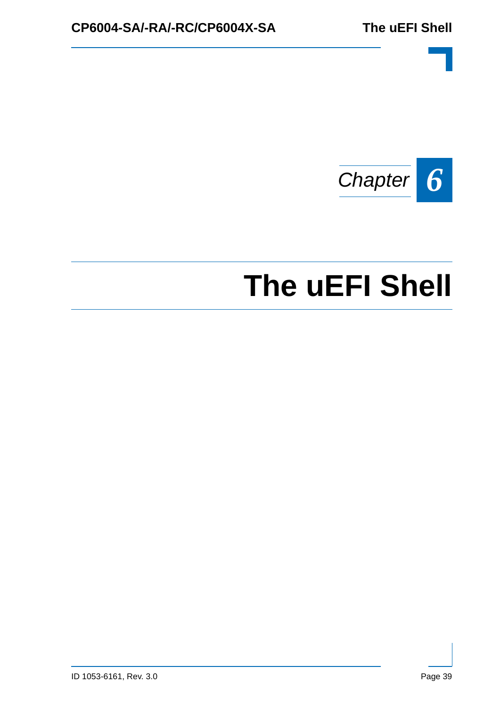

# **The uEFI Shell**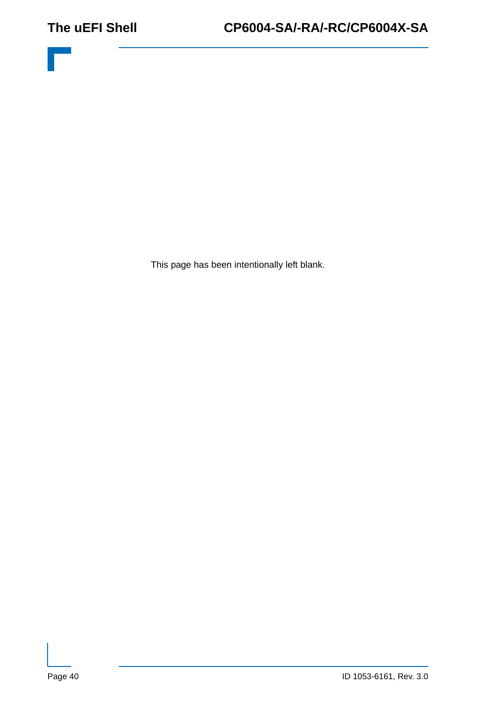

This page has been intentionally left blank.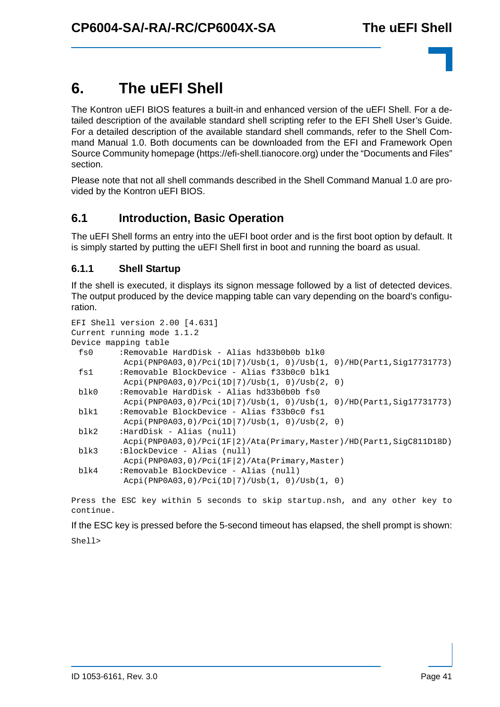# **6. The uEFI Shell**

The Kontron uEFI BIOS features a built-in and enhanced version of the uEFI Shell. For a detailed description of the available standard shell scripting refer to the EFI Shell User's Guide. For a detailed description of the available standard shell commands, refer to the Shell Command Manual 1.0. Both documents can be downloaded from the EFI and Framework Open Source Community homepage (https://efi-shell.tianocore.org) under the "Documents and Files" section.

Please note that not all shell commands described in the Shell Command Manual 1.0 are provided by the Kontron uEFI BIOS.

### **6.1 Introduction, Basic Operation**

The uEFI Shell forms an entry into the uEFI boot order and is the first boot option by default. It is simply started by putting the uEFI Shell first in boot and running the board as usual.

#### **6.1.1 Shell Startup**

If the shell is executed, it displays its signon message followed by a list of detected devices. The output produced by the device mapping table can vary depending on the board's configuration.

```
EFI Shell version 2.00 [4.631]
Current running mode 1.1.2
Device mapping table
 fs0 :Removable HardDisk - Alias hd33b0b0b blk0
           Acpi(PNP0A03,0)/Pci(1D|7)/Usb(1, 0)/Usb(1, 0)/HD(Part1,Sig17731773)
 fs1 :Removable BlockDevice - Alias f33b0c0 blk1
           Acpi(PNP0A03,0)/Pci(1D|7)/Usb(1, 0)/Usb(2, 0)
 blk0 :Removable HardDisk - Alias hd33b0b0b fs0
           Acpi(PNP0A03,0)/Pci(1D|7)/Usb(1, 0)/Usb(1, 0)/HD(Part1,Sig17731773)
 blk1 :Removable BlockDevice - Alias f33b0c0 fs1
           Acpi(PNP0A03,0)/Pci(1D|7)/Usb(1, 0)/Usb(2, 0)
 blk2 :HardDisk - Alias (null)
           Acpi(PNP0A03,0)/Pci(1F|2)/Ata(Primary,Master)/HD(Part1,SigC811D18D)
 blk3 :BlockDevice - Alias (null)
           Acpi(PNP0A03,0)/Pci(1F|2)/Ata(Primary,Master)
 blk4 :Removable BlockDevice - Alias (null)
           Acpi(PNP0A03,0)/Pci(1D|7)/Usb(1, 0)/Usb(1, 0)
```
Press the ESC key within 5 seconds to skip startup.nsh, and any other key to continue.

If the ESC key is pressed before the 5-second timeout has elapsed, the shell prompt is shown: Shell>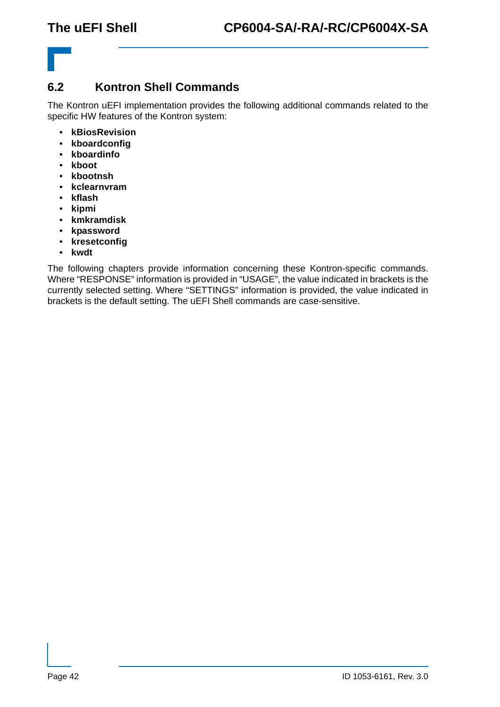

### **6.2 Kontron Shell Commands**

The Kontron uEFI implementation provides the following additional commands related to the specific HW features of the Kontron system:

- **kBiosRevision**
- **kboardconfig**
- **kboardinfo**
- **kboot**
- **kbootnsh**
- **kclearnvram**
- **kflash**
- **kipmi**
- **kmkramdisk**
- **kpassword**
- **kresetconfig**
- **kwdt**

The following chapters provide information concerning these Kontron-specific commands. Where "RESPONSE" information is provided in "USAGE", the value indicated in brackets is the currently selected setting. Where "SETTINGS" information is provided, the value indicated in brackets is the default setting. The uEFI Shell commands are case-sensitive.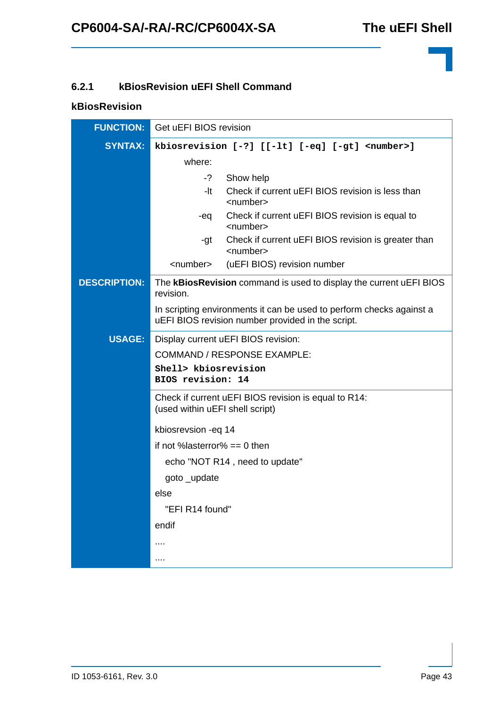## **6.2.1 kBiosRevision uEFI Shell Command**

#### **kBiosRevision**

| <b>FUNCTION:</b>    | Get uEFI BIOS revision                                                                                                    |  |  |
|---------------------|---------------------------------------------------------------------------------------------------------------------------|--|--|
| <b>SYNTAX:</b>      | kbiosrevision [-?] [[-1t] [-eq] [-gt] <number>]</number>                                                                  |  |  |
|                     | where:                                                                                                                    |  |  |
|                     | -?<br>Show help                                                                                                           |  |  |
|                     | Check if current uEFI BIOS revision is less than<br>-lt<br><number></number>                                              |  |  |
|                     | Check if current uEFI BIOS revision is equal to<br>-eq<br><number></number>                                               |  |  |
|                     | Check if current uEFI BIOS revision is greater than<br>-gt<br><number></number>                                           |  |  |
|                     | (uEFI BIOS) revision number<br><number></number>                                                                          |  |  |
| <b>DESCRIPTION:</b> | The kBiosRevision command is used to display the current uEFI BIOS<br>revision.                                           |  |  |
|                     | In scripting environments it can be used to perform checks against a<br>uEFI BIOS revision number provided in the script. |  |  |
| <b>USAGE:</b>       | Display current uEFI BIOS revision:                                                                                       |  |  |
|                     | <b>COMMAND / RESPONSE EXAMPLE:</b>                                                                                        |  |  |
|                     | Shell> kbiosrevision                                                                                                      |  |  |
|                     | BIOS revision: 14                                                                                                         |  |  |
|                     | Check if current uEFI BIOS revision is equal to R14:<br>(used within uEFI shell script)                                   |  |  |
|                     |                                                                                                                           |  |  |
|                     | kbiosrevsion - eq 14<br>if not %lasterror% $== 0$ then                                                                    |  |  |
|                     |                                                                                                                           |  |  |
|                     | echo "NOT R14, need to update"                                                                                            |  |  |
|                     | goto _update<br>else                                                                                                      |  |  |
|                     | "EFI R14 found"                                                                                                           |  |  |
|                     | endif                                                                                                                     |  |  |
|                     |                                                                                                                           |  |  |
|                     |                                                                                                                           |  |  |
|                     |                                                                                                                           |  |  |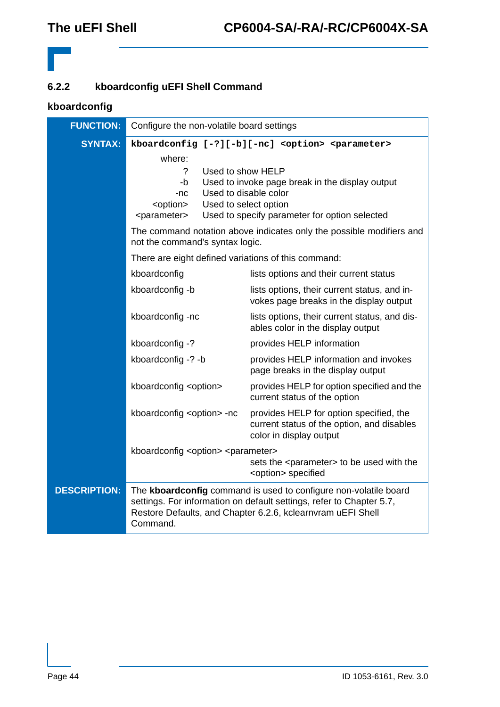# **6.2.2 kboardconfig uEFI Shell Command**

# **kboardconfig**

| <b>FUNCTION:</b>    | Configure the non-volatile board settings                                                                                                                                                                           |                                                                                                                                                                                                                                                 |  |
|---------------------|---------------------------------------------------------------------------------------------------------------------------------------------------------------------------------------------------------------------|-------------------------------------------------------------------------------------------------------------------------------------------------------------------------------------------------------------------------------------------------|--|
| <b>SYNTAX:</b>      |                                                                                                                                                                                                                     | kboardconfig [-?][-b][-nc] <option> <parameter></parameter></option>                                                                                                                                                                            |  |
|                     | where:<br>?<br>-b<br>-nc<br><option><br/><parameter></parameter></option>                                                                                                                                           | Used to show HELP<br>Used to invoke page break in the display output<br>Used to disable color<br>Used to select option<br>Used to specify parameter for option selected<br>The command notation above indicates only the possible modifiers and |  |
|                     | not the command's syntax logic.                                                                                                                                                                                     |                                                                                                                                                                                                                                                 |  |
|                     | There are eight defined variations of this command:<br>kboardconfig                                                                                                                                                 | lists options and their current status                                                                                                                                                                                                          |  |
|                     | kboardconfig-b                                                                                                                                                                                                      | lists options, their current status, and in-                                                                                                                                                                                                    |  |
|                     |                                                                                                                                                                                                                     | vokes page breaks in the display output                                                                                                                                                                                                         |  |
|                     | kboardconfig-nc                                                                                                                                                                                                     | lists options, their current status, and dis-<br>ables color in the display output                                                                                                                                                              |  |
|                     | kboardconfig -?                                                                                                                                                                                                     | provides HELP information                                                                                                                                                                                                                       |  |
|                     | kboardconfig -? -b                                                                                                                                                                                                  | provides HELP information and invokes<br>page breaks in the display output                                                                                                                                                                      |  |
|                     | kboardconfig <option></option>                                                                                                                                                                                      | provides HELP for option specified and the<br>current status of the option                                                                                                                                                                      |  |
|                     | kboardconfig <option> -nc</option>                                                                                                                                                                                  | provides HELP for option specified, the<br>current status of the option, and disables<br>color in display output                                                                                                                                |  |
|                     | kboardconfig <option> <parameter></parameter></option>                                                                                                                                                              | sets the <parameter> to be used with the<br/><option> specified</option></parameter>                                                                                                                                                            |  |
| <b>DESCRIPTION:</b> | The kboardconfig command is used to configure non-volatile board<br>settings. For information on default settings, refer to Chapter 5.7,<br>Restore Defaults, and Chapter 6.2.6, kclearnvram uEFI Shell<br>Command. |                                                                                                                                                                                                                                                 |  |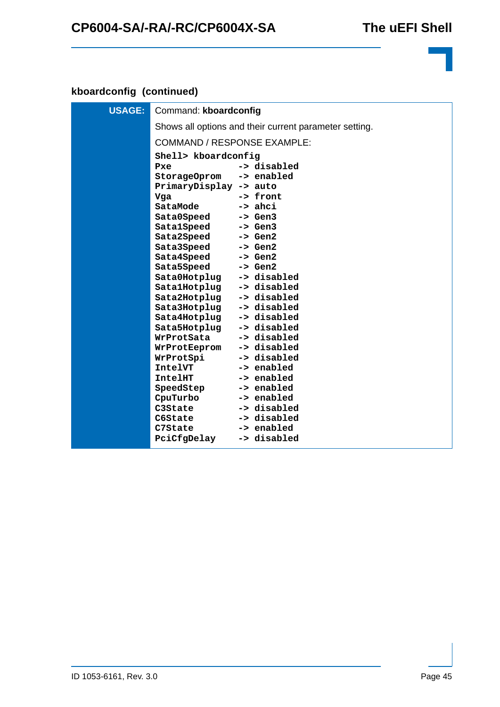| <b>USAGE:</b> | Command: kboardconfig                                  |  |                                          |
|---------------|--------------------------------------------------------|--|------------------------------------------|
|               | Shows all options and their current parameter setting. |  |                                          |
|               | <b>COMMAND / RESPONSE EXAMPLE:</b>                     |  |                                          |
|               | Shell> kboardconfig                                    |  |                                          |
|               | Pxe                                                    |  | -> disabled                              |
|               | StorageOprom                                           |  | -> enabled                               |
|               | PrimaryDisplay -> auto                                 |  |                                          |
|               | Vga                                                    |  | -> front                                 |
|               | SataMode                                               |  | -> ahci                                  |
|               | Sata0Speed                                             |  | $\rightarrow$ Gen3                       |
|               | Sata1Speed                                             |  | $\rightarrow$ Gen3<br>$\Rightarrow$ Gen2 |
|               | Sata2Speed<br>Sata3Speed                               |  | $\Rightarrow$ Gen2                       |
|               | Sata4Speed                                             |  | $\Rightarrow$ Gen2                       |
|               | Sata5Speed                                             |  | $\rightarrow$ Gen2                       |
|               | Sata0Hotplug -> disabled                               |  |                                          |
|               | SatalHotplug                                           |  | -> disabled                              |
|               | Sata2Hotplug                                           |  | -> disabled                              |
|               | Sata3Hotplug                                           |  | -> disabled                              |
|               | Sata4Hotplug                                           |  | -> disabled                              |
|               | Sata5Hotplug                                           |  | -> disabled                              |
|               | WrProtSata                                             |  | -> disabled                              |
|               | WrProtEeprom                                           |  | -> disabled                              |
|               | WrProtSpi                                              |  | -> disabled                              |
|               | IntelVT                                                |  | -> enabled                               |
|               | <b>IntelHT</b>                                         |  | -> enabled                               |
|               | SpeedStep<br>CpuTurbo                                  |  | -> enabled<br>-> enabled                 |
|               | C3State                                                |  | -> disabled                              |
|               | C6State                                                |  | -> disabled                              |
|               | C7State C79                                            |  | -> enabled                               |
|               | PciCfgDelay                                            |  | -> disabled                              |
|               |                                                        |  |                                          |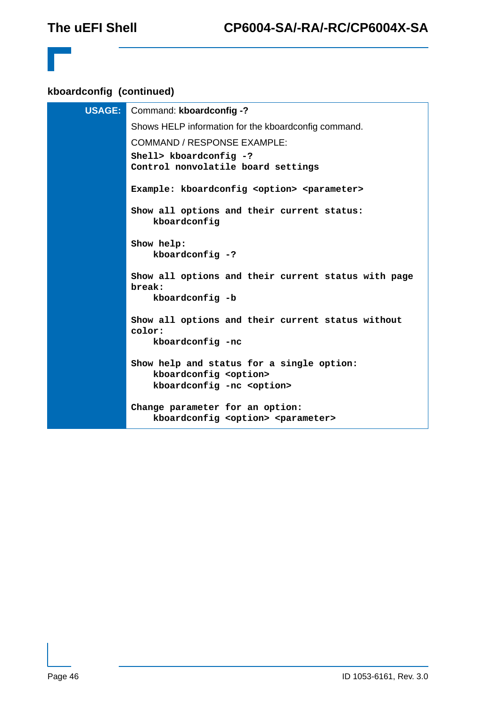

| <b>USAGE:</b> | Command: kboardconfig -?                                                                                           |  |  |  |
|---------------|--------------------------------------------------------------------------------------------------------------------|--|--|--|
|               | Shows HELP information for the kboardconfig command.                                                               |  |  |  |
|               | <b>COMMAND / RESPONSE EXAMPLE:</b>                                                                                 |  |  |  |
|               | Shell> kboardconfig -?<br>Control nonvolatile board settings                                                       |  |  |  |
|               | Example: kboardconfig <option> <parameter></parameter></option>                                                    |  |  |  |
|               | Show all options and their current status:<br>kboardconfig                                                         |  |  |  |
|               | Show help:<br>kboardconfig $-?$                                                                                    |  |  |  |
|               | Show all options and their current status with page<br>break:<br>kboardconfig -b                                   |  |  |  |
|               | Show all options and their current status without<br>color:<br>kboardconfig -nc                                    |  |  |  |
|               | Show help and status for a single option:<br>kboardconfig <option><br/>kboardconfig -nc <option></option></option> |  |  |  |
|               | Change parameter for an option:<br>kboardconfig <option> <parameter></parameter></option>                          |  |  |  |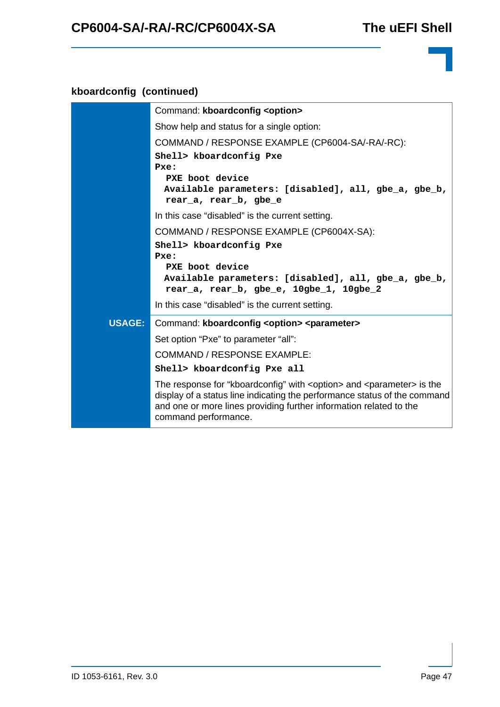|               | Command: kboardconfig <option></option>                                                                                                                                                                                                                                 |
|---------------|-------------------------------------------------------------------------------------------------------------------------------------------------------------------------------------------------------------------------------------------------------------------------|
|               | Show help and status for a single option:                                                                                                                                                                                                                               |
|               | COMMAND / RESPONSE EXAMPLE (CP6004-SA/-RA/-RC):                                                                                                                                                                                                                         |
|               | Shell> kboardconfig Pxe                                                                                                                                                                                                                                                 |
|               | Pxe:<br>PXE boot device<br>Available parameters: [disabled], all, gbe_a, gbe_b,<br>rear_a, rear_b, gbe_e                                                                                                                                                                |
|               | In this case "disabled" is the current setting.                                                                                                                                                                                                                         |
|               | COMMAND / RESPONSE EXAMPLE (CP6004X-SA):                                                                                                                                                                                                                                |
|               | Shell> kboardconfig Pxe                                                                                                                                                                                                                                                 |
|               | Pxe:<br>PXE boot device<br>Available parameters: [disabled], all, gbe_a, gbe_b,<br>rear_a, rear_b, gbe_e, 10gbe_1, 10gbe_2                                                                                                                                              |
|               | In this case "disabled" is the current setting.                                                                                                                                                                                                                         |
| <b>USAGE:</b> | Command: kboardconfig <option> <parameter></parameter></option>                                                                                                                                                                                                         |
|               | Set option "Pxe" to parameter "all":                                                                                                                                                                                                                                    |
|               | <b>COMMAND / RESPONSE EXAMPLE:</b>                                                                                                                                                                                                                                      |
|               | Shell> kboardconfig Pxe all                                                                                                                                                                                                                                             |
|               | The response for "kboardconfig" with <option> and <parameter> is the<br/>display of a status line indicating the performance status of the command<br/>and one or more lines providing further information related to the<br/>command performance.</parameter></option> |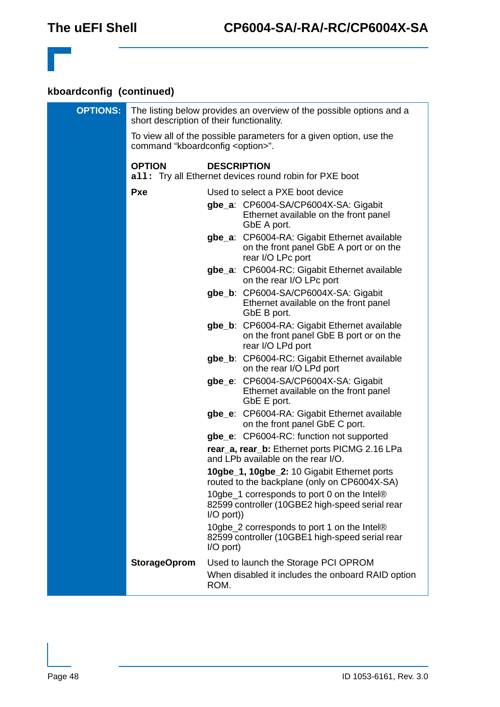

| <b>OPTIONS:</b> | The listing below provides an overview of the possible options and a<br>short description of their functionality. |                    |                                                                                                              |
|-----------------|-------------------------------------------------------------------------------------------------------------------|--------------------|--------------------------------------------------------------------------------------------------------------|
|                 | To view all of the possible parameters for a given option, use the<br>command "kboardconfig <option>".</option>   |                    |                                                                                                              |
|                 | <b>OPTION</b>                                                                                                     | <b>DESCRIPTION</b> | all: Try all Ethernet devices round robin for PXE boot                                                       |
|                 | <b>Pxe</b>                                                                                                        |                    | Used to select a PXE boot device                                                                             |
|                 |                                                                                                                   |                    | gbe_a: CP6004-SA/CP6004X-SA: Gigabit<br>Ethernet available on the front panel<br>GbE A port.                 |
|                 |                                                                                                                   |                    | gbe_a: CP6004-RA: Gigabit Ethernet available<br>on the front panel GbE A port or on the<br>rear I/O LPc port |
|                 |                                                                                                                   |                    | gbe_a: CP6004-RC: Gigabit Ethernet available<br>on the rear I/O LPc port                                     |
|                 |                                                                                                                   |                    | gbe_b: CP6004-SA/CP6004X-SA: Gigabit<br>Ethernet available on the front panel<br>GbE B port.                 |
|                 |                                                                                                                   |                    | gbe_b: CP6004-RA: Gigabit Ethernet available<br>on the front panel GbE B port or on the<br>rear I/O LPd port |
|                 |                                                                                                                   |                    | gbe_b: CP6004-RC: Gigabit Ethernet available<br>on the rear I/O LPd port                                     |
|                 |                                                                                                                   |                    | gbe_e: CP6004-SA/CP6004X-SA: Gigabit<br>Ethernet available on the front panel<br>GbE E port.                 |
|                 |                                                                                                                   |                    | gbe_e: CP6004-RA: Gigabit Ethernet available<br>on the front panel GbE C port.                               |
|                 |                                                                                                                   |                    | gbe_e: CP6004-RC: function not supported                                                                     |
|                 |                                                                                                                   |                    | rear_a, rear_b: Ethernet ports PICMG 2.16 LPa<br>and LPb available on the rear I/O.                          |
|                 |                                                                                                                   |                    | 10gbe_1, 10gbe_2: 10 Gigabit Ethernet ports<br>routed to the backplane (only on CP6004X-SA)                  |
|                 |                                                                                                                   | $I/O$ port))       | 10gbe_1 corresponds to port 0 on the Intel®<br>82599 controller (10GBE2 high-speed serial rear               |
|                 |                                                                                                                   | $I/O$ port)        | 10gbe_2 corresponds to port 1 on the Intel®<br>82599 controller (10GBE1 high-speed serial rear               |
|                 | <b>StorageOprom</b>                                                                                               |                    | Used to launch the Storage PCI OPROM                                                                         |
|                 |                                                                                                                   | ROM.               | When disabled it includes the onboard RAID option                                                            |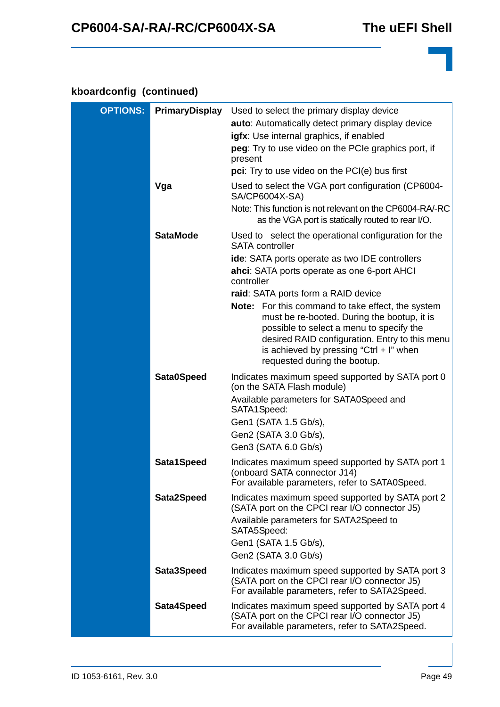

| <b>OPTIONS:</b> | PrimaryDisplay  | Used to select the primary display device                                                                                                                                                                              |
|-----------------|-----------------|------------------------------------------------------------------------------------------------------------------------------------------------------------------------------------------------------------------------|
|                 |                 | auto: Automatically detect primary display device                                                                                                                                                                      |
|                 |                 | <b>igfx</b> : Use internal graphics, if enabled                                                                                                                                                                        |
|                 |                 | <b>peg</b> : Try to use video on the PCIe graphics port, if<br>present                                                                                                                                                 |
|                 |                 | <b>pci</b> : Try to use video on the PCI(e) bus first                                                                                                                                                                  |
|                 | Vga             | Used to select the VGA port configuration (CP6004-<br>SA/CP6004X-SA)                                                                                                                                                   |
|                 |                 | Note: This function is not relevant on the CP6004-RA/-RC<br>as the VGA port is statically routed to rear I/O.                                                                                                          |
|                 | <b>SataMode</b> | Used to select the operational configuration for the<br><b>SATA</b> controller                                                                                                                                         |
|                 |                 | <b>ide:</b> SATA ports operate as two IDE controllers                                                                                                                                                                  |
|                 |                 | ahci: SATA ports operate as one 6-port AHCI<br>controller                                                                                                                                                              |
|                 |                 | raid: SATA ports form a RAID device                                                                                                                                                                                    |
|                 |                 | Note: For this command to take effect, the system                                                                                                                                                                      |
|                 |                 | must be re-booted. During the bootup, it is<br>possible to select a menu to specify the<br>desired RAID configuration. Entry to this menu<br>is achieved by pressing "Ctrl $+$ I" when<br>requested during the bootup. |
|                 | Sata0Speed      | Indicates maximum speed supported by SATA port 0<br>(on the SATA Flash module)                                                                                                                                         |
|                 |                 | Available parameters for SATA0Speed and<br>SATA1Speed:                                                                                                                                                                 |
|                 |                 | Gen1 (SATA 1.5 Gb/s),                                                                                                                                                                                                  |
|                 |                 | Gen2 (SATA 3.0 Gb/s),                                                                                                                                                                                                  |
|                 |                 | Gen3 (SATA 6.0 Gb/s)                                                                                                                                                                                                   |
|                 | Sata1Speed      | Indicates maximum speed supported by SATA port 1<br>(onboard SATA connector J14)<br>For available parameters, refer to SATA0Speed.                                                                                     |
|                 | Sata2Speed      | Indicates maximum speed supported by SATA port 2<br>(SATA port on the CPCI rear I/O connector J5)                                                                                                                      |
|                 |                 | Available parameters for SATA2Speed to<br>SATA5Speed:<br>Gen1 (SATA 1.5 Gb/s),                                                                                                                                         |
|                 |                 | Gen2 (SATA 3.0 Gb/s)                                                                                                                                                                                                   |
|                 | Sata3Speed      | Indicates maximum speed supported by SATA port 3<br>(SATA port on the CPCI rear I/O connector J5)<br>For available parameters, refer to SATA2Speed.                                                                    |
|                 | Sata4Speed      | Indicates maximum speed supported by SATA port 4<br>(SATA port on the CPCI rear I/O connector J5)<br>For available parameters, refer to SATA2Speed.                                                                    |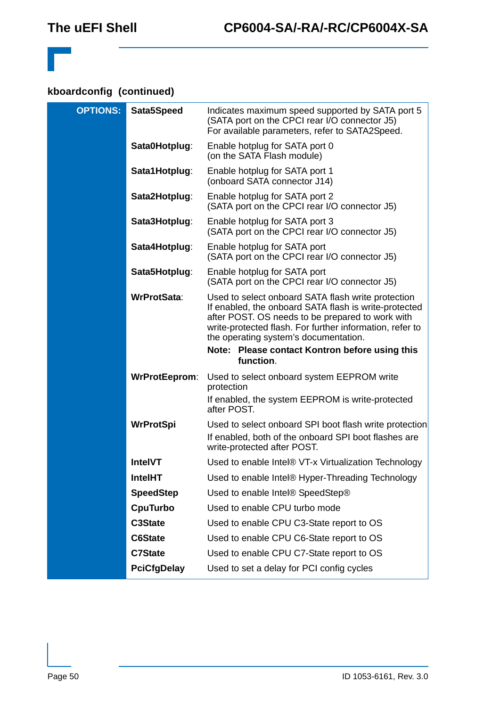| <b>OPTIONS:</b> | Sata5Speed         | Indicates maximum speed supported by SATA port 5<br>(SATA port on the CPCI rear I/O connector J5)<br>For available parameters, refer to SATA2Speed.                                                                                                                  |
|-----------------|--------------------|----------------------------------------------------------------------------------------------------------------------------------------------------------------------------------------------------------------------------------------------------------------------|
|                 | Sata0Hotplug:      | Enable hotplug for SATA port 0<br>(on the SATA Flash module)                                                                                                                                                                                                         |
|                 | Sata1Hotplug:      | Enable hotplug for SATA port 1<br>(onboard SATA connector J14)                                                                                                                                                                                                       |
|                 | Sata2Hotplug:      | Enable hotplug for SATA port 2<br>(SATA port on the CPCI rear I/O connector J5)                                                                                                                                                                                      |
|                 | Sata3Hotplug:      | Enable hotplug for SATA port 3<br>(SATA port on the CPCI rear I/O connector J5)                                                                                                                                                                                      |
|                 | Sata4Hotplug:      | Enable hotplug for SATA port<br>(SATA port on the CPCI rear I/O connector J5)                                                                                                                                                                                        |
|                 | Sata5Hotplug:      | Enable hotplug for SATA port<br>(SATA port on the CPCI rear I/O connector J5)                                                                                                                                                                                        |
|                 | <b>WrProtSata:</b> | Used to select onboard SATA flash write protection<br>If enabled, the onboard SATA flash is write-protected<br>after POST. OS needs to be prepared to work with<br>write-protected flash. For further information, refer to<br>the operating system's documentation. |
|                 |                    | Note: Please contact Kontron before using this<br>function.                                                                                                                                                                                                          |
|                 | WrProtEeprom:      | Used to select onboard system EEPROM write<br>protection                                                                                                                                                                                                             |
|                 |                    | If enabled, the system EEPROM is write-protected<br>after POST.                                                                                                                                                                                                      |
|                 | <b>WrProtSpi</b>   | Used to select onboard SPI boot flash write protection<br>If enabled, both of the onboard SPI boot flashes are<br>write-protected after POST.                                                                                                                        |
|                 | <b>IntelVT</b>     | Used to enable Intel® VT-x Virtualization Technology                                                                                                                                                                                                                 |
|                 | IntelHT            | Used to enable Intel® Hyper-Threading Technology                                                                                                                                                                                                                     |
|                 | <b>SpeedStep</b>   | Used to enable Intel® SpeedStep®                                                                                                                                                                                                                                     |
|                 | <b>CpuTurbo</b>    | Used to enable CPU turbo mode                                                                                                                                                                                                                                        |
|                 | <b>C3State</b>     | Used to enable CPU C3-State report to OS                                                                                                                                                                                                                             |
|                 | <b>C6State</b>     | Used to enable CPU C6-State report to OS                                                                                                                                                                                                                             |
|                 | <b>C7State</b>     | Used to enable CPU C7-State report to OS                                                                                                                                                                                                                             |
|                 |                    |                                                                                                                                                                                                                                                                      |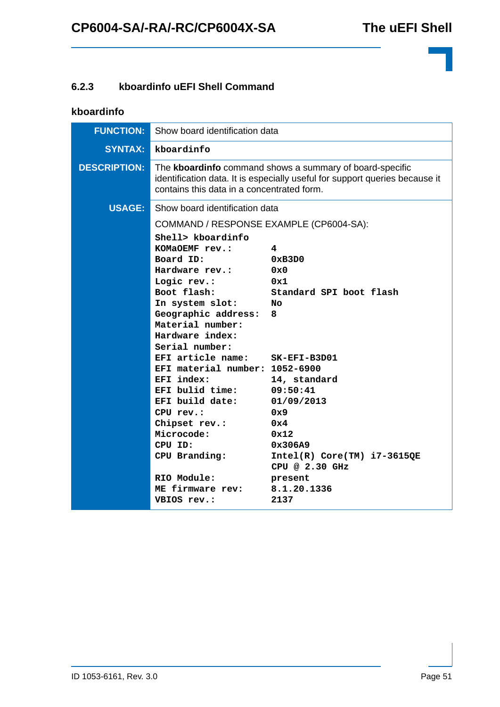# **6.2.3 kboardinfo uEFI Shell Command**

#### **kboardinfo**

|                     | <b>FUNCTION:</b> Show board identification data                                                                                                                                       |                               |  |
|---------------------|---------------------------------------------------------------------------------------------------------------------------------------------------------------------------------------|-------------------------------|--|
| <b>SYNTAX:</b>      | kboardinfo                                                                                                                                                                            |                               |  |
| <b>DESCRIPTION:</b> | The kboardinfo command shows a summary of board-specific<br>identification data. It is especially useful for support queries because it<br>contains this data in a concentrated form. |                               |  |
| <b>USAGE:</b>       | Show board identification data                                                                                                                                                        |                               |  |
|                     | COMMAND / RESPONSE EXAMPLE (CP6004-SA):                                                                                                                                               |                               |  |
|                     | Shell> kboardinfo                                                                                                                                                                     |                               |  |
|                     | KOMaOEMF rev.:                                                                                                                                                                        | 4                             |  |
|                     | Board ID:                                                                                                                                                                             | 0xB3D0                        |  |
|                     | Hardware rev.:                                                                                                                                                                        | 0x0                           |  |
|                     | Logic rev.:                                                                                                                                                                           | 0x1                           |  |
|                     | Boot flash:<br>In system slot:                                                                                                                                                        | Standard SPI boot flash       |  |
|                     | <b>No.</b><br>Geographic address:                                                                                                                                                     | 8                             |  |
|                     | Material number:                                                                                                                                                                      |                               |  |
|                     | Hardware index:                                                                                                                                                                       |                               |  |
|                     | Serial number:                                                                                                                                                                        |                               |  |
|                     | EFI article name: SK-EFI-B3D01                                                                                                                                                        |                               |  |
|                     | EFI material number: 1052-6900                                                                                                                                                        |                               |  |
|                     | EFI index:                                                                                                                                                                            | 14, standard                  |  |
|                     | EFI bulid time: $09:50:41$                                                                                                                                                            |                               |  |
|                     | EFI build date: 01/09/2013                                                                                                                                                            |                               |  |
|                     | CPU rev.:                                                                                                                                                                             | 0x9                           |  |
|                     | Chipset rev.: 0x4<br>Microcode:                                                                                                                                                       | 0x12                          |  |
|                     | CPU ID:                                                                                                                                                                               | 0x306A9                       |  |
|                     | CPU Branding:                                                                                                                                                                         | $Intel(R) Core(TM) i7-3615QE$ |  |
|                     |                                                                                                                                                                                       | CPU @ 2.30 GHz                |  |
|                     | RIO Module:                                                                                                                                                                           | present                       |  |
|                     | ME firmware rev:                                                                                                                                                                      | 8.1.20.1336                   |  |
|                     | VBIOS rev.:                                                                                                                                                                           | 2137                          |  |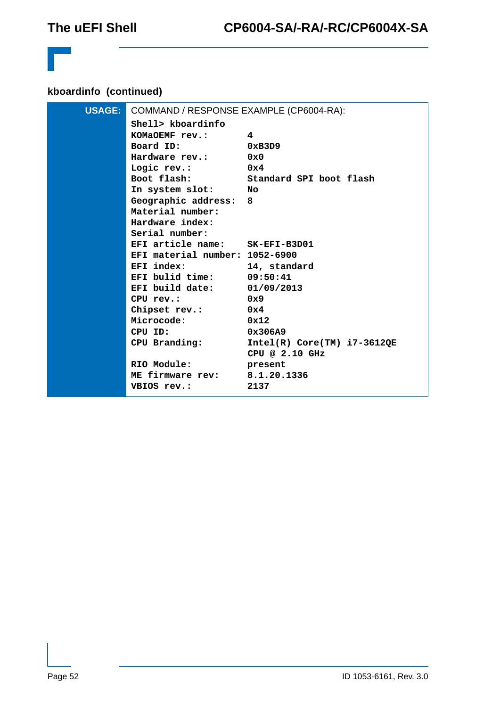

| <b>USAGE:</b> COMMAND / RESPONSE EXAMPLE (CP6004-RA): |                               |  |
|-------------------------------------------------------|-------------------------------|--|
| Shell> kboardinfo                                     |                               |  |
| KOMaOEMF rev.:                                        | 4                             |  |
| Board ID: 0xB3D9                                      |                               |  |
| Hardware rev.:                                        | 0x0                           |  |
| Logic rev.:                                           | 0x4                           |  |
| Boot flash: Standard SPI boot flash                   |                               |  |
| In system slot: No                                    |                               |  |
| Geographic address:                                   | 8                             |  |
| Material number:                                      |                               |  |
| Hardware index:                                       |                               |  |
| Serial number:                                        |                               |  |
| EFI article name: SK-EFI-B3D01                        |                               |  |
| EFI material number: 1052-6900                        |                               |  |
| EFI index:                                            | 14, standard                  |  |
| EFI bulid time: $09:50:41$                            |                               |  |
| EFI build date: 01/09/2013                            |                               |  |
| CPU rev.:                                             | 0x9                           |  |
| Chipset rev.: 0x4                                     |                               |  |
| Microcode:                                            | 0x12                          |  |
| CPU ID:                                               | 0x306A9                       |  |
| CPU Branding:                                         | $Intel(R) Core(TM) i7-3612QE$ |  |
|                                                       | CPU $@2.10$ GHz               |  |
| RIO Module: present                                   |                               |  |
| ME firmware rev: 8.1.20.1336                          | 2137                          |  |
| VBIOS rev.:                                           |                               |  |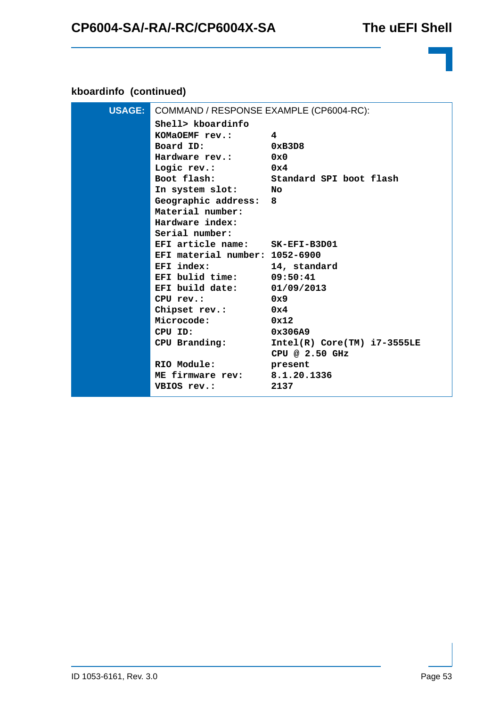|                                | <b>USAGE:</b> COMMAND / RESPONSE EXAMPLE (CP6004-RC): |  |
|--------------------------------|-------------------------------------------------------|--|
| Shell> kboardinfo              |                                                       |  |
| KOMaOEMF rev.:                 | 4                                                     |  |
| Board ID: 0xB3D8               |                                                       |  |
| Hardware rev.:                 | 0x0                                                   |  |
| Logic rev.:                    | 0x4                                                   |  |
|                                | Boot flash: Standard SPI boot flash                   |  |
| In system slot: No             |                                                       |  |
| Geographic address:            | 8                                                     |  |
| Material number:               |                                                       |  |
| Hardware index:                |                                                       |  |
| Serial number:                 |                                                       |  |
| EFI article name: SK-EFI-B3D01 |                                                       |  |
| EFI material number: 1052-6900 |                                                       |  |
| EFI index:                     | 14, standard                                          |  |
| EFI bulid time: $09:50:41$     |                                                       |  |
| EFI build date: $01/09/2013$   |                                                       |  |
| CPU rev.:                      | 0x9                                                   |  |
| Chipset rev.: 0x4              |                                                       |  |
| Microcode:<br>0x12             |                                                       |  |
| CPU ID:                        | 0x306A9                                               |  |
| CPU Branding:                  | $Intel(R) Core(TM) i7-3555LE$                         |  |
|                                | CPU @ 2.50 GHz                                        |  |
| RIO Module:                    | present                                               |  |
| ME firmware rev: 8.1.20.1336   |                                                       |  |
| VBIOS rev.:                    | 2137                                                  |  |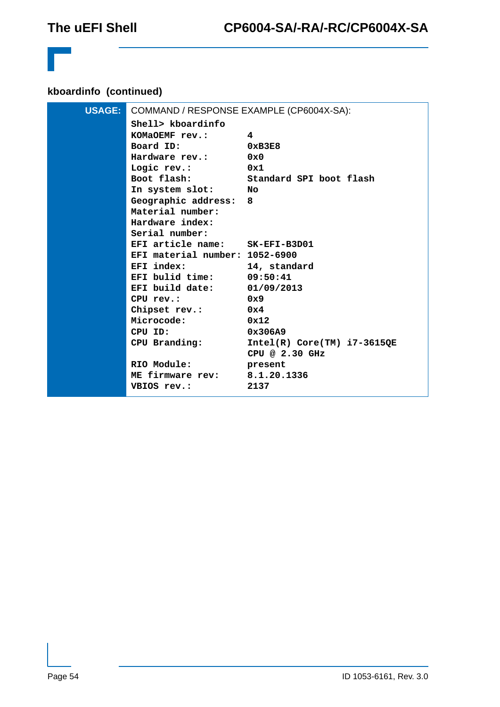

| <b>USAGE:</b> COMMAND / RESPONSE EXAMPLE (CP6004X-SA): |                                     |  |
|--------------------------------------------------------|-------------------------------------|--|
| Shell> kboardinfo                                      |                                     |  |
| KOMaOEMF rev.:                                         | 4                                   |  |
| Board ID:                                              | 0xB3E8                              |  |
| Hardware rev.: 0x0                                     |                                     |  |
| Logic rev.: 0x1                                        |                                     |  |
|                                                        | Boot flash: Standard SPI boot flash |  |
| In system slot: No                                     |                                     |  |
| Geographic address:                                    | 8                                   |  |
| Material number:                                       |                                     |  |
| Hardware index:                                        |                                     |  |
| Serial number:                                         |                                     |  |
| EFI article name: SK-EFI-B3D01                         |                                     |  |
| EFI material number: 1052-6900                         |                                     |  |
| EFI index:                                             | 14, standard                        |  |
| EFI bulid time: $09:50:41$                             |                                     |  |
| EFI build date: 01/09/2013                             |                                     |  |
| CPU rev.:                                              | 0x9                                 |  |
| Chipset rev.: 0x4                                      |                                     |  |
| Microcode:                                             | 0x12                                |  |
| CPU ID:                                                | 0x306A9                             |  |
| CPU Branding:                                          | $Intel(R) Core(TM) i7-3615QE$       |  |
|                                                        | CPU $@2.30$ GHz                     |  |
| RIO Module:                                            | present                             |  |
| ME firmware rev: 8.1.20.1336                           |                                     |  |
| VBIOS rev.:                                            | 2137                                |  |
|                                                        |                                     |  |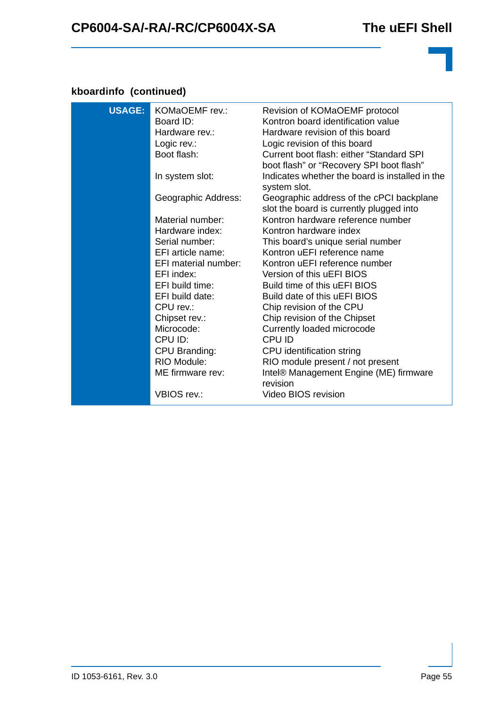| <b>USAGE:</b> | KOMaOEMF rev.:       | Revision of KOMaOEMF protocol                                   |
|---------------|----------------------|-----------------------------------------------------------------|
|               | Board ID:            | Kontron board identification value                              |
|               | Hardware rev.:       | Hardware revision of this board                                 |
|               | Logic rev.:          | Logic revision of this board                                    |
|               | Boot flash:          | Current boot flash: either "Standard SPI                        |
|               |                      | boot flash" or "Recovery SPI boot flash"                        |
|               | In system slot:      | Indicates whether the board is installed in the<br>system slot. |
|               | Geographic Address:  | Geographic address of the cPCI backplane                        |
|               |                      | slot the board is currently plugged into                        |
|               | Material number:     | Kontron hardware reference number                               |
|               | Hardware index:      | Kontron hardware index                                          |
|               | Serial number:       | This board's unique serial number                               |
|               | EFI article name:    | Kontron uEFI reference name                                     |
|               | EFI material number: | Kontron uEFI reference number                                   |
|               | EFI index:           | Version of this uEFI BIOS                                       |
|               | EFI build time:      | Build time of this uEFI BIOS                                    |
|               | EFI build date:      | Build date of this uEFI BIOS                                    |
|               | CPU rev.:            | Chip revision of the CPU                                        |
|               | Chipset rev.:        | Chip revision of the Chipset                                    |
|               | Microcode:           | Currently loaded microcode                                      |
|               | CPU ID:              | <b>CPU ID</b>                                                   |
|               | CPU Branding:        | CPU identification string                                       |
|               | RIO Module:          | RIO module present / not present                                |
|               | ME firmware rev:     | Intel® Management Engine (ME) firmware                          |
|               |                      | revision                                                        |
|               | VBIOS rev.:          | Video BIOS revision                                             |
|               |                      |                                                                 |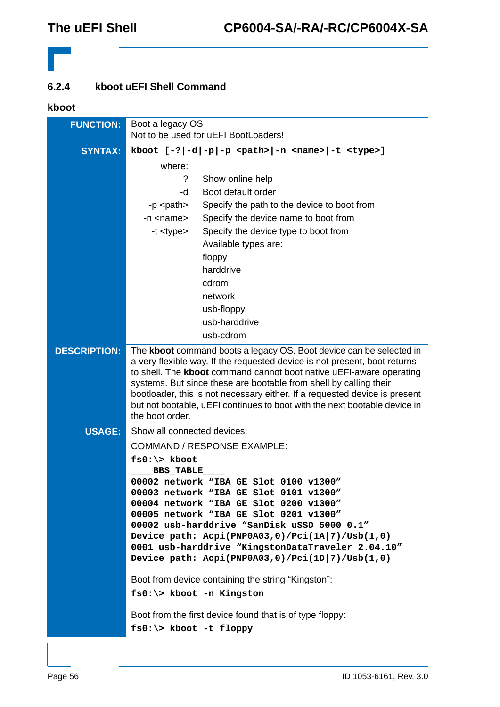# **6.2.4 kboot uEFI Shell Command**

#### **kboot**

| <b>FUNCTION:</b>    | Boot a legacy OS<br>Not to be used for uEFI BootLoaders!                                                                                                                                                                                                                                                                                                                                                                                                                                                                                                                                                                                                          |
|---------------------|-------------------------------------------------------------------------------------------------------------------------------------------------------------------------------------------------------------------------------------------------------------------------------------------------------------------------------------------------------------------------------------------------------------------------------------------------------------------------------------------------------------------------------------------------------------------------------------------------------------------------------------------------------------------|
| <b>SYNTAX:</b>      | kboot $[-? -d -p -p$ <path><math> -n</math> <name><math> -t</math> <type>]<br/>where:<br/>?<br/>Show online help<br/>Boot default order<br/>-d<br/>Specify the path to the device to boot from<br/>-p <path><br/>Specify the device name to boot from<br/><math>-n</math> <math>&lt;</math>name<math>&gt;</math><br/>Specify the device type to boot from<br/><math>-t &lt; type</math><br/>Available types are:<br/>floppy<br/>harddrive<br/>cdrom<br/>network<br/>usb-floppy<br/>usb-harddrive<br/>usb-cdrom</path></type></name></path>                                                                                                                        |
| <b>DESCRIPTION:</b> | The kboot command boots a legacy OS. Boot device can be selected in<br>a very flexible way. If the requested device is not present, boot returns<br>to shell. The kboot command cannot boot native uEFI-aware operating<br>systems. But since these are bootable from shell by calling their<br>bootloader, this is not necessary either. If a requested device is present<br>but not bootable, uEFI continues to boot with the next bootable device in<br>the boot order.                                                                                                                                                                                        |
| <b>USAGE:</b>       | Show all connected devices:<br><b>COMMAND / RESPONSE EXAMPLE:</b><br>$fso: \&$ kboot<br>BBS_TABLE<br>00002 network "IBA GE Slot 0100 v1300"<br>00003 network "IBA GE Slot 0101 v1300"<br>00004 network "IBA GE Slot 0200 v1300"<br>00005 network "IBA GE Slot 0201 v1300"<br>00002 usb-harddrive "SanDisk uSSD 5000 0.1"<br>Device path: $Acpi(PNP0A03,0)/Pci(1A 7)/Usb(1,0)$<br>0001 usb-harddrive "KingstonDataTraveler 2.04.10"<br>Device path: $Acpi(PNP0A03,0)/Pci(1D 7)/Usb(1,0)$<br>Boot from device containing the string "Kingston":<br>fs0:\> kboot -n Kingston<br>Boot from the first device found that is of type floppy:<br>$fs0:\> kboot -t floppy$ |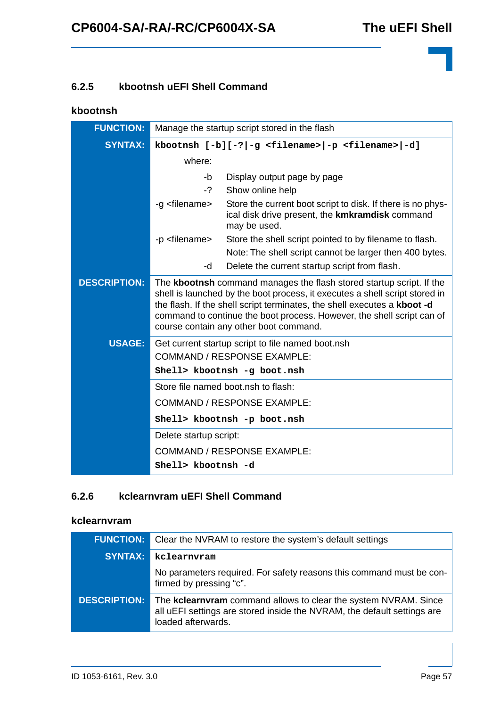#### **6.2.5 kbootnsh uEFI Shell Command**

#### **kbootnsh**

| <b>FUNCTION:</b>    | Manage the startup script stored in the flash                                                        |                                                                                                                                                                                                                                                                                                                                                     |
|---------------------|------------------------------------------------------------------------------------------------------|-----------------------------------------------------------------------------------------------------------------------------------------------------------------------------------------------------------------------------------------------------------------------------------------------------------------------------------------------------|
| <b>SYNTAX:</b>      | kbootnsh $[-b] [-?] -g$ <filename><math> -p</math> <filename><math> -d]</math></filename></filename> |                                                                                                                                                                                                                                                                                                                                                     |
|                     | where:                                                                                               |                                                                                                                                                                                                                                                                                                                                                     |
|                     | -b                                                                                                   | Display output page by page                                                                                                                                                                                                                                                                                                                         |
|                     | -?                                                                                                   | Show online help                                                                                                                                                                                                                                                                                                                                    |
|                     | -g <filename></filename>                                                                             | Store the current boot script to disk. If there is no phys-<br>ical disk drive present, the kmkramdisk command<br>may be used.                                                                                                                                                                                                                      |
|                     | -p <filename></filename>                                                                             | Store the shell script pointed to by filename to flash.<br>Note: The shell script cannot be larger then 400 bytes.                                                                                                                                                                                                                                  |
|                     | -d                                                                                                   | Delete the current startup script from flash.                                                                                                                                                                                                                                                                                                       |
| <b>DESCRIPTION:</b> |                                                                                                      | The kbootnsh command manages the flash stored startup script. If the<br>shell is launched by the boot process, it executes a shell script stored in<br>the flash. If the shell script terminates, the shell executes a kboot -d<br>command to continue the boot process. However, the shell script can of<br>course contain any other boot command. |
| <b>USAGE:</b>       |                                                                                                      | Get current startup script to file named boot.nsh                                                                                                                                                                                                                                                                                                   |
|                     |                                                                                                      | <b>COMMAND / RESPONSE EXAMPLE:</b>                                                                                                                                                                                                                                                                                                                  |
|                     |                                                                                                      | Shell> kbootnsh -g boot.nsh                                                                                                                                                                                                                                                                                                                         |
|                     |                                                                                                      | Store file named boot.nsh to flash:                                                                                                                                                                                                                                                                                                                 |
|                     |                                                                                                      | <b>COMMAND / RESPONSE EXAMPLE:</b>                                                                                                                                                                                                                                                                                                                  |
|                     |                                                                                                      | Shell> kbootnsh -p boot.nsh                                                                                                                                                                                                                                                                                                                         |
|                     | Delete startup script:                                                                               |                                                                                                                                                                                                                                                                                                                                                     |
|                     |                                                                                                      | <b>COMMAND / RESPONSE EXAMPLE:</b>                                                                                                                                                                                                                                                                                                                  |
|                     | Shell> kbootnsh -d                                                                                   |                                                                                                                                                                                                                                                                                                                                                     |

#### **6.2.6 kclearnvram uEFI Shell Command**

#### **kclearnvram**

|                     | <b>FUNCTION:</b> Clear the NVRAM to restore the system's default settings                                                                                        |  |
|---------------------|------------------------------------------------------------------------------------------------------------------------------------------------------------------|--|
| <b>SYNTAX:</b>      | kclearnvram                                                                                                                                                      |  |
|                     | No parameters required. For safety reasons this command must be con-<br>firmed by pressing "c".                                                                  |  |
| <b>DESCRIPTION:</b> | The kclearnvram command allows to clear the system NVRAM. Since<br>all uEFI settings are stored inside the NVRAM, the default settings are<br>loaded afterwards. |  |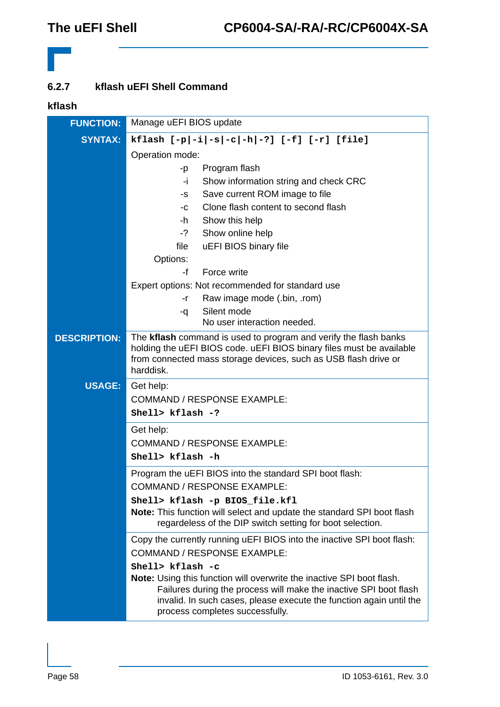# **6.2.7 kflash uEFI Shell Command**

#### **kflash**

| <b>FUNCTION:</b>    | Manage uEFI BIOS update                                                                                                                  |
|---------------------|------------------------------------------------------------------------------------------------------------------------------------------|
| <b>SYNTAX:</b>      | kflash $[-p -i -s -c -h -?] [-f] [-r] [file]$                                                                                            |
|                     | Operation mode:                                                                                                                          |
|                     | Program flash<br>-p                                                                                                                      |
|                     | ΗĹ.<br>Show information string and check CRC                                                                                             |
|                     | Save current ROM image to file<br>-S                                                                                                     |
|                     | Clone flash content to second flash<br>$-C$                                                                                              |
|                     | Show this help<br>-h                                                                                                                     |
|                     | $-2$<br>Show online help                                                                                                                 |
|                     | file<br>uEFI BIOS binary file                                                                                                            |
|                     | Options:                                                                                                                                 |
|                     | Force write<br>-f                                                                                                                        |
|                     | Expert options: Not recommended for standard use                                                                                         |
|                     | Raw image mode (.bin, .rom)<br>$-r$                                                                                                      |
|                     | Silent mode<br>-q<br>No user interaction needed.                                                                                         |
| <b>DESCRIPTION:</b> |                                                                                                                                          |
|                     | The kflash command is used to program and verify the flash banks<br>holding the uEFI BIOS code. uEFI BIOS binary files must be available |
|                     | from connected mass storage devices, such as USB flash drive or                                                                          |
|                     | harddisk.                                                                                                                                |
| <b>USAGE:</b>       | Get help:                                                                                                                                |
|                     | <b>COMMAND / RESPONSE EXAMPLE:</b>                                                                                                       |
|                     | Shell> kflash -?                                                                                                                         |
|                     | Get help:                                                                                                                                |
|                     | <b>COMMAND / RESPONSE EXAMPLE:</b>                                                                                                       |
|                     | Shell> kflash -h                                                                                                                         |
|                     | Program the uEFI BIOS into the standard SPI boot flash:                                                                                  |
|                     | <b>COMMAND / RESPONSE EXAMPLE:</b>                                                                                                       |
|                     | Shell> kflash -p BIOS_file.kfl                                                                                                           |
|                     | Note: This function will select and update the standard SPI boot flash                                                                   |
|                     | regardeless of the DIP switch setting for boot selection.                                                                                |
|                     | Copy the currently running uEFI BIOS into the inactive SPI boot flash:                                                                   |
|                     | <b>COMMAND / RESPONSE EXAMPLE:</b>                                                                                                       |
|                     | Shell> kflash -c                                                                                                                         |
|                     | Note: Using this function will overwrite the inactive SPI boot flash.                                                                    |
|                     | Failures during the process will make the inactive SPI boot flash                                                                        |
|                     | invalid. In such cases, please execute the function again until the<br>process completes successfully.                                   |
|                     |                                                                                                                                          |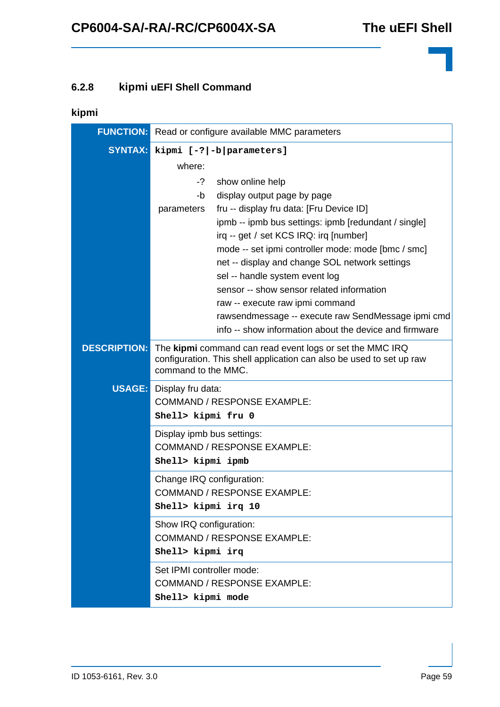# **6.2.8 kipmi uEFI Shell Command**

# **kipmi**

|                     | <b>FUNCTION:</b> Read or configure available MMC parameters                                                                                                                                                                                                                                                                                                                                                                                                                                                         |
|---------------------|---------------------------------------------------------------------------------------------------------------------------------------------------------------------------------------------------------------------------------------------------------------------------------------------------------------------------------------------------------------------------------------------------------------------------------------------------------------------------------------------------------------------|
|                     | SYNTAX: kipmi [-?   -b   parameters]                                                                                                                                                                                                                                                                                                                                                                                                                                                                                |
|                     | where:<br>$-2$<br>show online help<br>display output page by page<br>-b<br>fru -- display fru data: [Fru Device ID]<br>parameters<br>ipmb -- ipmb bus settings: ipmb [redundant / single]<br>irq -- get / set KCS IRQ: irq [number]<br>mode -- set ipmi controller mode: mode [bmc / smc]<br>net -- display and change SOL network settings<br>sel -- handle system event log<br>sensor -- show sensor related information<br>raw -- execute raw ipmi command<br>rawsendmessage -- execute raw SendMessage ipmi cmd |
|                     | info -- show information about the device and firmware                                                                                                                                                                                                                                                                                                                                                                                                                                                              |
| <b>DESCRIPTION:</b> | The kipmi command can read event logs or set the MMC IRQ<br>configuration. This shell application can also be used to set up raw<br>command to the MMC.                                                                                                                                                                                                                                                                                                                                                             |
|                     | <b>USAGE:</b> Display fru data:<br><b>COMMAND / RESPONSE EXAMPLE:</b><br>Shell> kipmi fru 0                                                                                                                                                                                                                                                                                                                                                                                                                         |
|                     | Display ipmb bus settings:<br><b>COMMAND / RESPONSE EXAMPLE:</b><br>Shell> kipmi ipmb                                                                                                                                                                                                                                                                                                                                                                                                                               |
|                     | Change IRQ configuration:<br><b>COMMAND / RESPONSE EXAMPLE:</b><br>Shell> kipmi irq 10                                                                                                                                                                                                                                                                                                                                                                                                                              |
|                     | Show IRQ configuration:<br><b>COMMAND / RESPONSE EXAMPLE:</b><br>Shell> kipmi irq                                                                                                                                                                                                                                                                                                                                                                                                                                   |
|                     | Set IPMI controller mode:<br><b>COMMAND / RESPONSE EXAMPLE:</b><br>Shell> kipmi mode                                                                                                                                                                                                                                                                                                                                                                                                                                |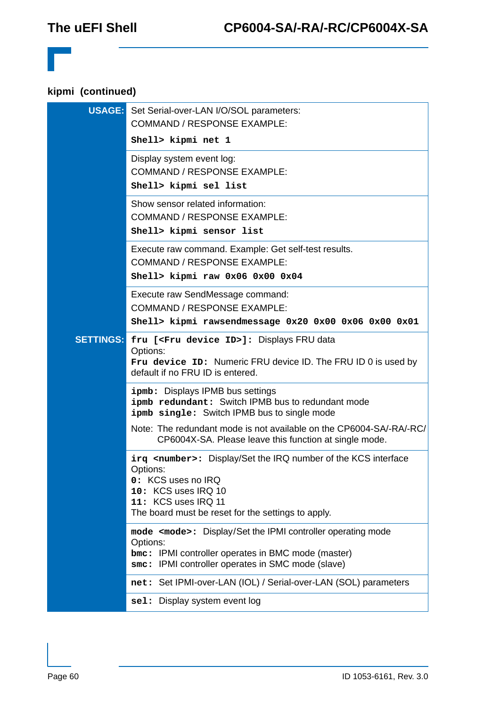**kipmi (continued)**

|                  | <b>USAGE:</b> Set Serial-over-LAN I/O/SOL parameters:<br><b>COMMAND / RESPONSE EXAMPLE:</b>                                                                                                                       |
|------------------|-------------------------------------------------------------------------------------------------------------------------------------------------------------------------------------------------------------------|
|                  | Shell> kipmi net 1                                                                                                                                                                                                |
|                  | Display system event log:<br><b>COMMAND / RESPONSE EXAMPLE:</b><br>Shell> kipmi sel list                                                                                                                          |
|                  | Show sensor related information:<br><b>COMMAND / RESPONSE EXAMPLE:</b><br>Shell> kipmi sensor list                                                                                                                |
|                  | Execute raw command. Example: Get self-test results.<br><b>COMMAND / RESPONSE EXAMPLE:</b><br>Shell> kipmi raw 0x06 0x00 0x04                                                                                     |
|                  | Execute raw SendMessage command:<br><b>COMMAND / RESPONSE EXAMPLE:</b><br>Shell> kipmi rawsendmessage 0x20 0x00 0x06 0x00 0x01                                                                                    |
| <b>SETTINGS:</b> | fru [ <fru device="" id="">]: Displays FRU data<br/>Options:<br/>Fru device ID: Numeric FRU device ID. The FRU ID 0 is used by<br/>default if no FRU ID is entered.</fru>                                         |
|                  | ipmb: Displays IPMB bus settings<br>ipmb redundant: Switch IPMB bus to redundant mode<br>ipmb single: Switch IPMB bus to single mode                                                                              |
|                  | Note: The redundant mode is not available on the CP6004-SA/-RA/-RC/<br>CP6004X-SA. Please leave this function at single mode.                                                                                     |
|                  | irg <number>: Display/Set the IRQ number of the KCS interface<br/>Options:<br/>0: KCS uses no IRQ<br/>10: KCS uses IRQ 10<br/>11: KCS uses IRQ 11<br/>The board must be reset for the settings to apply.</number> |
|                  | mode <mode>: Display/Set the IPMI controller operating mode<br/>Options:<br/><b>bmc:</b> IPMI controller operates in BMC mode (master)<br/>smc: IPMI controller operates in SMC mode (slave)</mode>               |
|                  | net: Set IPMI-over-LAN (IOL) / Serial-over-LAN (SOL) parameters                                                                                                                                                   |
|                  | sel: Display system event log                                                                                                                                                                                     |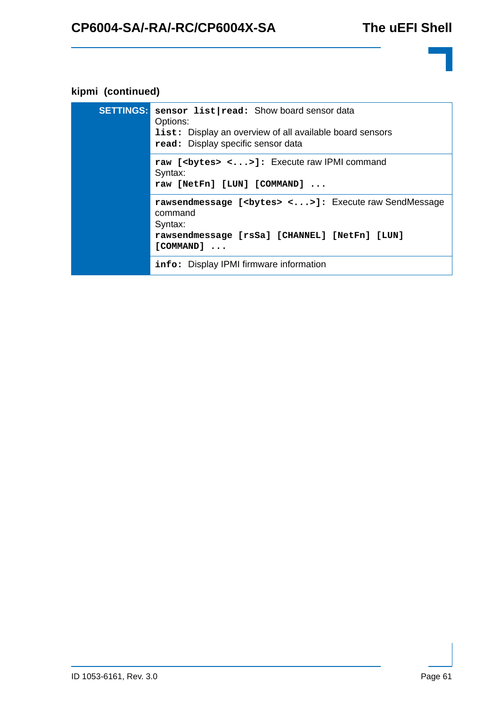# **kipmi (continued)**

| <b>SETTINGS:</b> sensor list   read: Show board sensor data<br>Options:<br><b>list:</b> Display an overview of all available board sensors<br>read: Display specific sensor data |
|----------------------------------------------------------------------------------------------------------------------------------------------------------------------------------|
| raw [<br>bytes> <>]: Execute raw IPMI command<br>Syntax:<br>raw [NetFn] [LUN] [COMMAND]                                                                                          |
| rawsendmessage [ <bytes> &lt;&gt;]: Execute raw SendMessage<br/>command<br/>Syntax:<br/>rawsendmessage [rsSa] [CHANNEL] [NetFn] [LUN]<br/><math>[COMMAND] \ldots</math></bytes>  |
| info: Display IPMI firmware information                                                                                                                                          |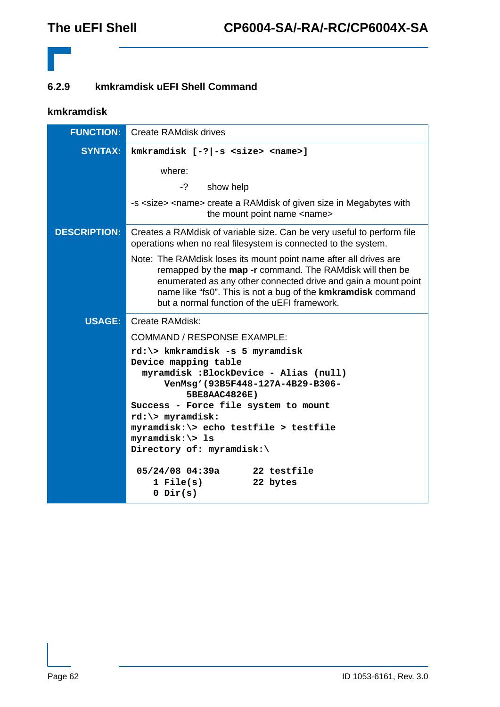# **6.2.9 kmkramdisk uEFI Shell Command**

#### **kmkramdisk**

| <b>FUNCTION:</b>    | <b>Create RAMdisk drives</b>                                                                                                                                                                                                                                                                                    |
|---------------------|-----------------------------------------------------------------------------------------------------------------------------------------------------------------------------------------------------------------------------------------------------------------------------------------------------------------|
| <b>SYNTAX:</b>      | kmkramdisk $[-?]$ -s <size> <name>]</name></size>                                                                                                                                                                                                                                                               |
|                     | where:                                                                                                                                                                                                                                                                                                          |
|                     | show help<br>-?                                                                                                                                                                                                                                                                                                 |
|                     | -s <size> <name> create a RAMdisk of given size in Megabytes with<br/>the mount point name <name></name></name></size>                                                                                                                                                                                          |
| <b>DESCRIPTION:</b> | Creates a RAMdisk of variable size. Can be very useful to perform file<br>operations when no real filesystem is connected to the system.                                                                                                                                                                        |
|                     | Note: The RAMdisk loses its mount point name after all drives are<br>remapped by the map -r command. The RAMdisk will then be<br>enumerated as any other connected drive and gain a mount point<br>name like "fs0". This is not a bug of the kmkramdisk command<br>but a normal function of the uEFI framework. |
| <b>USAGE:</b>       | Create RAMdisk:                                                                                                                                                                                                                                                                                                 |
|                     | <b>COMMAND / RESPONSE EXAMPLE:</b>                                                                                                                                                                                                                                                                              |
|                     | $rd: \>$ kmkramdisk -s 5 myramdisk<br>Device mapping table                                                                                                                                                                                                                                                      |
|                     | myramdisk: BlockDevice - Alias (null)                                                                                                                                                                                                                                                                           |
|                     | VenMsg' (93B5F448-127A-4B29-B306-<br>5BE8AAC4826E)                                                                                                                                                                                                                                                              |
|                     | Success - Force file system to mount                                                                                                                                                                                                                                                                            |
|                     | $rd: \> myramdisk:$<br>myramdisk: \> echo testfile > testfile                                                                                                                                                                                                                                                   |
|                     | $myramdisk: \> 1s$                                                                                                                                                                                                                                                                                              |
|                     | Directory of: myramdisk:\                                                                                                                                                                                                                                                                                       |
|                     | 22 testfile<br>05/24/08 04:39a<br>$1$ File( $s$ )<br>22 bytes<br>$0 \, \text{Dir}(s)$                                                                                                                                                                                                                           |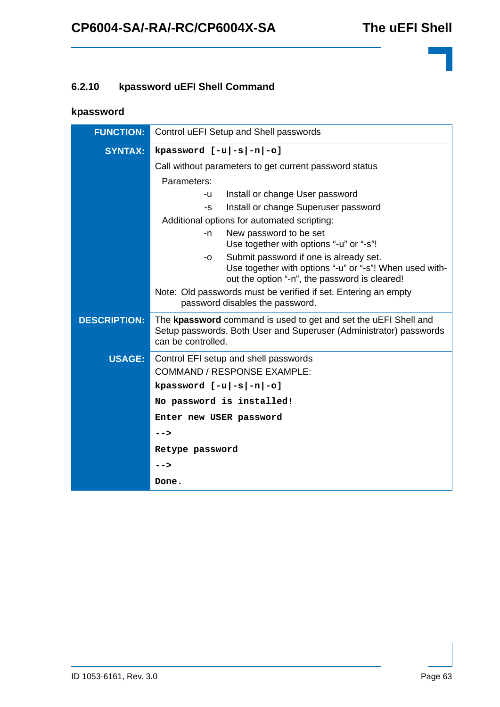## **6.2.10 kpassword uEFI Shell Command**

#### **kpassword**

| <b>FUNCTION:</b>    | Control uEFI Setup and Shell passwords                                                                                                                      |  |  |
|---------------------|-------------------------------------------------------------------------------------------------------------------------------------------------------------|--|--|
| <b>SYNTAX:</b>      | kpassword $[-u]$ -s $ -n $ -o]                                                                                                                              |  |  |
|                     | Call without parameters to get current password status                                                                                                      |  |  |
|                     | Parameters:                                                                                                                                                 |  |  |
|                     | Install or change User password<br>-u                                                                                                                       |  |  |
|                     | Install or change Superuser password<br>-S                                                                                                                  |  |  |
|                     | Additional options for automated scripting:                                                                                                                 |  |  |
|                     | New password to be set<br>-n                                                                                                                                |  |  |
|                     | Use together with options "-u" or "-s"!                                                                                                                     |  |  |
|                     | Submit password if one is already set.<br>-0<br>Use together with options "-u" or "-s"! When used with-<br>out the option "-n", the password is cleared!    |  |  |
|                     | Note: Old passwords must be verified if set. Entering an empty<br>password disables the password.                                                           |  |  |
| <b>DESCRIPTION:</b> | The kpassword command is used to get and set the uEFI Shell and<br>Setup passwords. Both User and Superuser (Administrator) passwords<br>can be controlled. |  |  |
| <b>USAGE:</b>       | Control EFI setup and shell passwords                                                                                                                       |  |  |
|                     | <b>COMMAND / RESPONSE EXAMPLE:</b>                                                                                                                          |  |  |
|                     | kpassword $[-u]$ -s $ -n $ -o]                                                                                                                              |  |  |
|                     | No password is installed!                                                                                                                                   |  |  |
|                     | Enter new USER password                                                                                                                                     |  |  |
|                     | $--$                                                                                                                                                        |  |  |
|                     | Retype password                                                                                                                                             |  |  |
|                     | -->                                                                                                                                                         |  |  |
|                     | Done.                                                                                                                                                       |  |  |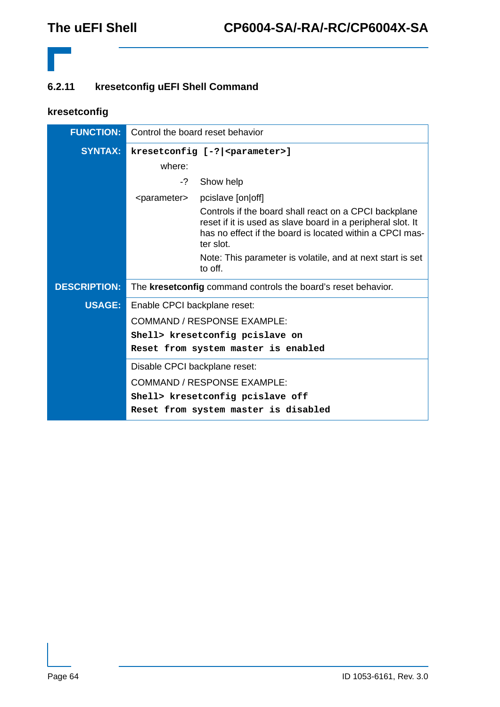# **6.2.11 kresetconfig uEFI Shell Command**

## **kresetconfig**

| <b>FUNCTION:</b>    | Control the board reset behavior                              |                                                                                                                                                                                               |  |
|---------------------|---------------------------------------------------------------|-----------------------------------------------------------------------------------------------------------------------------------------------------------------------------------------------|--|
| <b>SYNTAX:</b>      | $k$ resetconfig $[-?]$ <parameter>]</parameter>               |                                                                                                                                                                                               |  |
|                     | where:                                                        |                                                                                                                                                                                               |  |
|                     | -?                                                            | Show help                                                                                                                                                                                     |  |
|                     | <parameter></parameter>                                       | pcislave [on off]                                                                                                                                                                             |  |
|                     |                                                               | Controls if the board shall react on a CPCI backplane<br>reset if it is used as slave board in a peripheral slot. It<br>has no effect if the board is located within a CPCI mas-<br>ter slot. |  |
|                     |                                                               | Note: This parameter is volatile, and at next start is set<br>to off.                                                                                                                         |  |
| <b>DESCRIPTION:</b> | The kresetconfig command controls the board's reset behavior. |                                                                                                                                                                                               |  |
| <b>USAGE:</b>       | Enable CPCI backplane reset:                                  |                                                                                                                                                                                               |  |
|                     | <b>COMMAND / RESPONSE EXAMPLE:</b>                            |                                                                                                                                                                                               |  |
|                     | Shell> kresetconfig pcislave on                               |                                                                                                                                                                                               |  |
|                     | Reset from system master is enabled                           |                                                                                                                                                                                               |  |
|                     | Disable CPCI backplane reset:                                 |                                                                                                                                                                                               |  |
|                     | <b>COMMAND / RESPONSE EXAMPLE:</b>                            |                                                                                                                                                                                               |  |
|                     |                                                               | Shell> kresetconfig pcislave off                                                                                                                                                              |  |
|                     |                                                               | Reset from system master is disabled                                                                                                                                                          |  |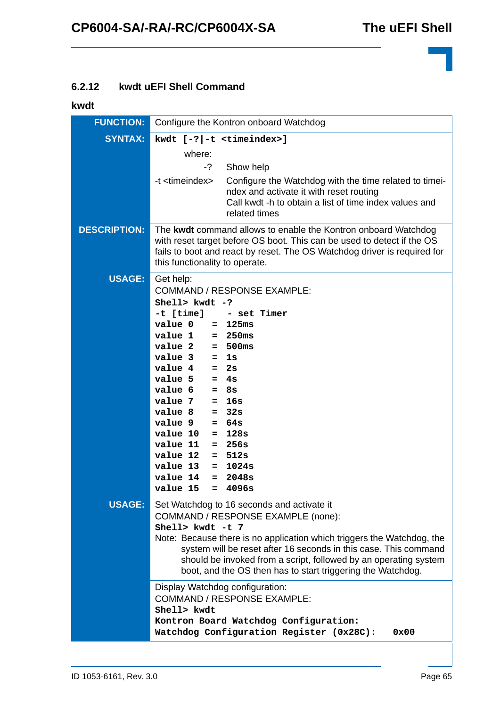

#### **6.2.12 kwdt uEFI Shell Command**

#### **kwdt**

| <b>FUNCTION:</b>    | Configure the Kontron onboard Watchdog                                                                                                                                                                                                                                                                                                                                                                                                                                                                                                                                     |  |  |
|---------------------|----------------------------------------------------------------------------------------------------------------------------------------------------------------------------------------------------------------------------------------------------------------------------------------------------------------------------------------------------------------------------------------------------------------------------------------------------------------------------------------------------------------------------------------------------------------------------|--|--|
| <b>SYNTAX:</b>      | kwdt $[-? -t < t$ imeindex>]                                                                                                                                                                                                                                                                                                                                                                                                                                                                                                                                               |  |  |
|                     | where:<br>$-2$<br>Show help<br>-t <timeindex><br/>Configure the Watchdog with the time related to timei-<br/>ndex and activate it with reset routing<br/>Call kwdt -h to obtain a list of time index values and<br/>related times</timeindex>                                                                                                                                                                                                                                                                                                                              |  |  |
| <b>DESCRIPTION:</b> | The kwdt command allows to enable the Kontron onboard Watchdog<br>with reset target before OS boot. This can be used to detect if the OS<br>fails to boot and react by reset. The OS Watchdog driver is required for<br>this functionality to operate.                                                                                                                                                                                                                                                                                                                     |  |  |
| <b>USAGE:</b>       | Get help:<br><b>COMMAND / RESPONSE EXAMPLE:</b><br>Shell> $kwdt -?$<br>-t [time] - set Timer<br>value 0<br>$= 125ms$<br>value $1 = 250$ ms<br>value $2 = 500$ ms<br>value $3 = 1s$<br>value 4<br>$= 2s$<br>value 5<br>$= 4s$<br>value 6<br>$= 8s$<br>value 7<br>$= 16s$<br>value 8<br>$= 32s$<br>value 9<br>$= 64s$<br>value $10 = 128s$<br>value $11 = 256s$<br>value $12 = 512s$<br>$value 13 = 1024s$<br>value 14<br>$= 2048s$<br>value 15<br>4096s<br>$=$                                                                                                              |  |  |
| <b>USAGE:</b>       | Set Watchdog to 16 seconds and activate it<br>COMMAND / RESPONSE EXAMPLE (none):<br>Shell> kwdt -t 7<br>Note: Because there is no application which triggers the Watchdog, the<br>system will be reset after 16 seconds in this case. This command<br>should be invoked from a script, followed by an operating system<br>boot, and the OS then has to start triggering the Watchdog.<br>Display Watchdog configuration:<br><b>COMMAND / RESPONSE EXAMPLE:</b><br>Shell> kwdt<br>Kontron Board Watchdog Configuration:<br>Watchdog Configuration Register (0x28C):<br>0x00 |  |  |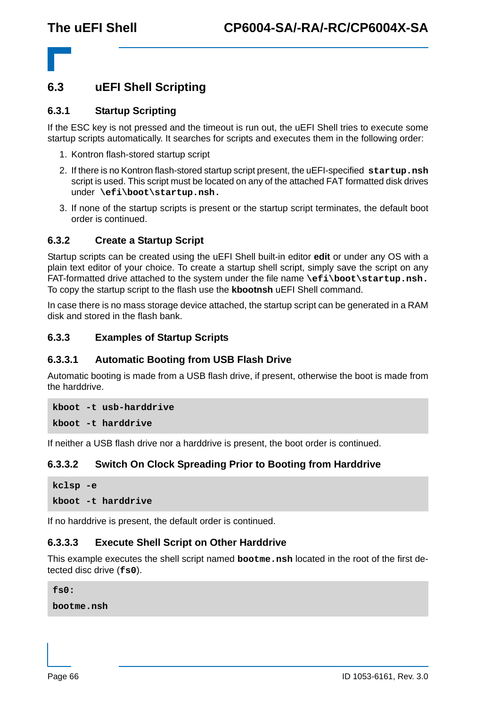

## **6.3 uEFI Shell Scripting**

#### **6.3.1 Startup Scripting**

If the ESC key is not pressed and the timeout is run out, the uEFI Shell tries to execute some startup scripts automatically. It searches for scripts and executes them in the following order:

- 1. Kontron flash-stored startup script
- 2. If there is no Kontron flash-stored startup script present, the uEFI-specified **startup.nsh** script is used. This script must be located on any of the attached FAT formatted disk drives under **\efi\boot\startup.nsh.**
- 3. If none of the startup scripts is present or the startup script terminates, the default boot order is continued.

#### **6.3.2 Create a Startup Script**

Startup scripts can be created using the uEFI Shell built-in editor **edit** or under any OS with a plain text editor of your choice. To create a startup shell script, simply save the script on any FAT-formatted drive attached to the system under the file name **\efi\boot\startup.nsh.** To copy the startup script to the flash use the **kbootnsh** uEFI Shell command.

In case there is no mass storage device attached, the startup script can be generated in a RAM disk and stored in the flash bank.

#### **6.3.3 Examples of Startup Scripts**

#### **6.3.3.1 Automatic Booting from USB Flash Drive**

Automatic booting is made from a USB flash drive, if present, otherwise the boot is made from the harddrive.

```
kboot -t usb-harddrive
kboot -t harddrive
```
If neither a USB flash drive nor a harddrive is present, the boot order is continued.

#### **6.3.3.2 Switch On Clock Spreading Prior to Booting from Harddrive**

```
kclsp -e
kboot -t harddrive
```
If no harddrive is present, the default order is continued.

#### **6.3.3.3 Execute Shell Script on Other Harddrive**

This example executes the shell script named **bootme.nsh** located in the root of the first detected disc drive (**fs0**).

**fs0:**

**bootme.nsh**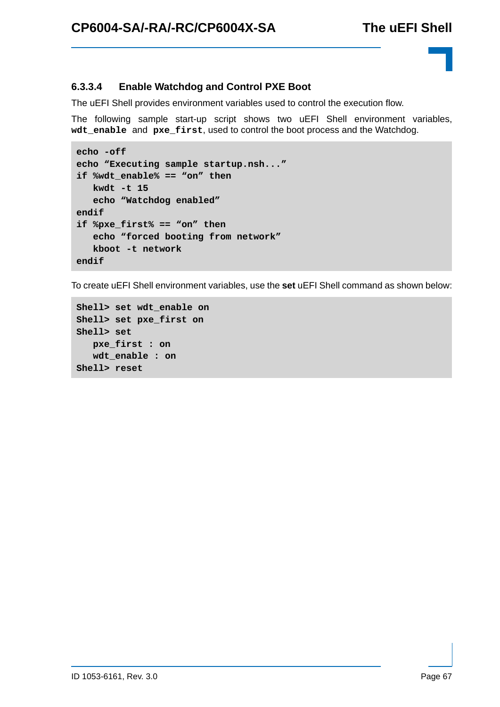### **6.3.3.4 Enable Watchdog and Control PXE Boot**

The uEFI Shell provides environment variables used to control the execution flow.

The following sample start-up script shows two uEFI Shell environment variables, wdt enable and pxe first, used to control the boot process and the Watchdog.

```
echo -off
echo "Executing sample startup.nsh..."
if %wdt_enable% == "on" then
   kwdt -t 15
    echo "Watchdog enabled"
endif
if %pxe_first% == "on" then
   echo "forced booting from network"
   kboot -t network
endif
```
To create uEFI Shell environment variables, use the **set** uEFI Shell command as shown below:

```
Shell> set wdt_enable on
Shell> set pxe_first on
Shell> set
   pxe_first : on
   wdt_enable : on
Shell> reset
```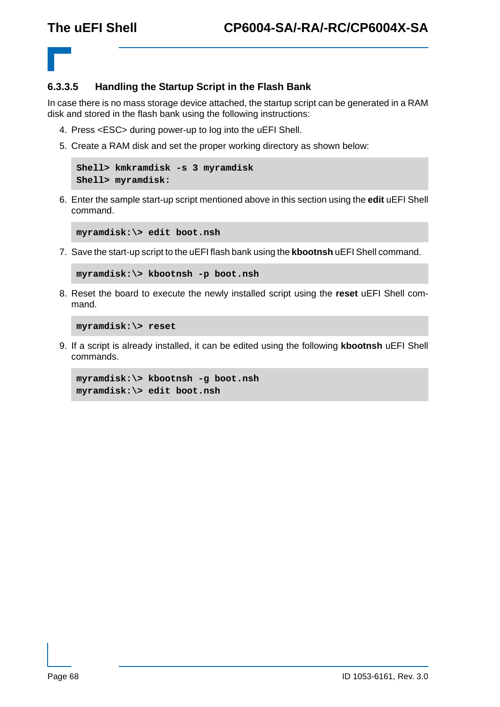## **6.3.3.5 Handling the Startup Script in the Flash Bank**

In case there is no mass storage device attached, the startup script can be generated in a RAM disk and stored in the flash bank using the following instructions:

- 4. Press <ESC> during power-up to log into the uEFI Shell.
- 5. Create a RAM disk and set the proper working directory as shown below:

```
Shell> kmkramdisk -s 3 myramdisk
Shell> myramdisk:
```
6. Enter the sample start-up script mentioned above in this section using the **edit** uEFI Shell command.

**myramdisk:\> edit boot.nsh**

7. Save the start-up script to the uEFI flash bank using the **kbootnsh** uEFI Shell command.

**myramdisk:\> kbootnsh -p boot.nsh**

8. Reset the board to execute the newly installed script using the **reset** uEFI Shell command.

**myramdisk:\> reset**

9. If a script is already installed, it can be edited using the following **kbootnsh** uEFI Shell commands.

**myramdisk:\> kbootnsh -g boot.nsh myramdisk:\> edit boot.nsh**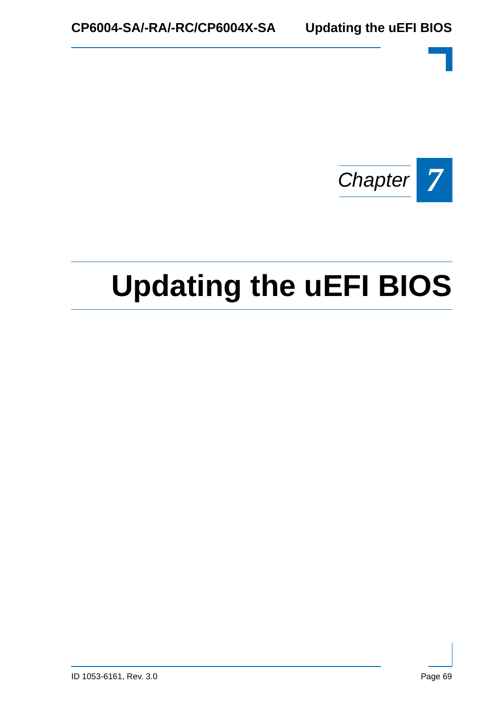

# **Updating the uEFI BIOS**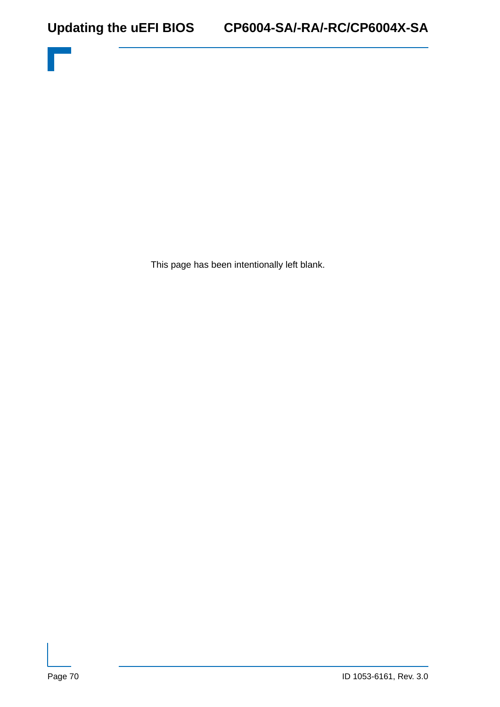

This page has been intentionally left blank.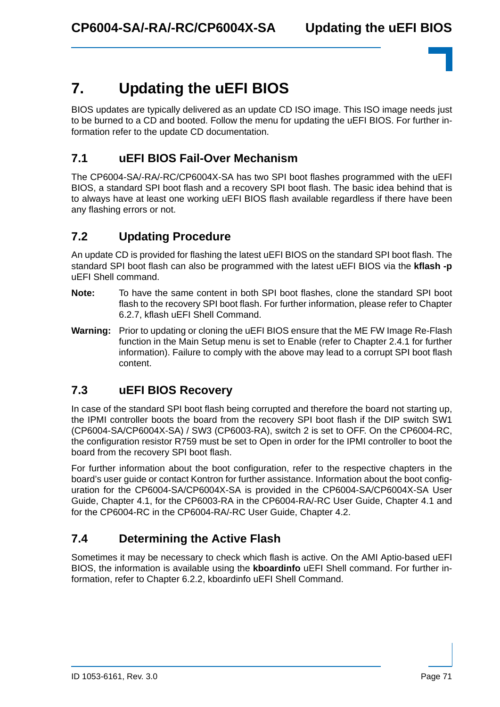

BIOS updates are typically delivered as an update CD ISO image. This ISO image needs just to be burned to a CD and booted. Follow the menu for updating the uEFI BIOS. For further information refer to the update CD documentation.

# **7.1 uEFI BIOS Fail-Over Mechanism**

The CP6004-SA/-RA/-RC/CP6004X-SA has two SPI boot flashes programmed with the uEFI BIOS, a standard SPI boot flash and a recovery SPI boot flash. The basic idea behind that is to always have at least one working uEFI BIOS flash available regardless if there have been any flashing errors or not.

# **7.2 Updating Procedure**

An update CD is provided for flashing the latest uEFI BIOS on the standard SPI boot flash. The standard SPI boot flash can also be programmed with the latest uEFI BIOS via the **kflash -p** uEFI Shell command.

- **Note:** To have the same content in both SPI boot flashes, clone the standard SPI boot flash to the recovery SPI boot flash. For further information, please refer to Chapter 6.2.7, kflash uEFI Shell Command.
- **Warning:** Prior to updating or cloning the uEFI BIOS ensure that the ME FW Image Re-Flash function in the Main Setup menu is set to Enable (refer to Chapter 2.4.1 for further information). Failure to comply with the above may lead to a corrupt SPI boot flash content.

## **7.3 uEFI BIOS Recovery**

In case of the standard SPI boot flash being corrupted and therefore the board not starting up, the IPMI controller boots the board from the recovery SPI boot flash if the DIP switch SW1 (CP6004-SA/CP6004X-SA) / SW3 (CP6003-RA), switch 2 is set to OFF. On the CP6004-RC, the configuration resistor R759 must be set to Open in order for the IPMI controller to boot the board from the recovery SPI boot flash.

For further information about the boot configuration, refer to the respective chapters in the board's user guide or contact Kontron for further assistance. Information about the boot configuration for the CP6004-SA/CP6004X-SA is provided in the CP6004-SA/CP6004X-SA User Guide, Chapter 4.1, for the CP6003-RA in the CP6004-RA/-RC User Guide, Chapter 4.1 and for the CP6004-RC in the CP6004-RA/-RC User Guide, Chapter 4.2.

# **7.4 Determining the Active Flash**

Sometimes it may be necessary to check which flash is active. On the AMI Aptio-based uEFI BIOS, the information is available using the **kboardinfo** uEFI Shell command. For further information, refer to Chapter 6.2.2, kboardinfo uEFI Shell Command.